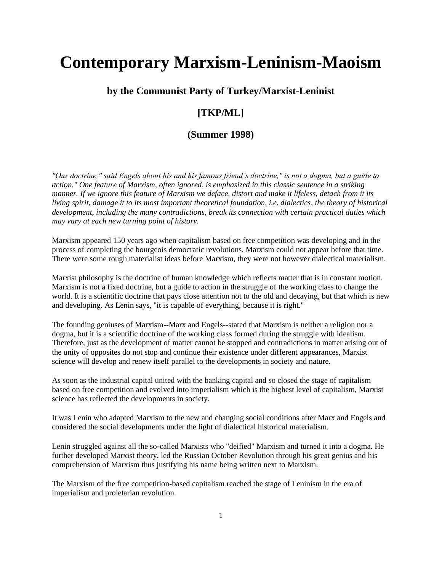# **Contemporary Marxism-Leninism-Maoism**

## **by the Communist Party of Turkey/Marxist-Leninist**

## **[TKP/ML]**

## **(Summer 1998)**

*"Our doctrine," said Engels about his and his famous friend's doctrine," is not a dogma, but a guide to action." One feature of Marxism, often ignored, is emphasized in this classic sentence in a striking manner. If we ignore this feature of Marxism we deface, distort and make it lifeless, detach from it its living spirit, damage it to its most important theoretical foundation, i.e. dialectics, the theory of historical development, including the many contradictions, break its connection with certain practical duties which may vary at each new turning point of history.* 

Marxism appeared 150 years ago when capitalism based on free competition was developing and in the process of completing the bourgeois democratic revolutions. Marxism could not appear before that time. There were some rough materialist ideas before Marxism, they were not however dialectical materialism.

Marxist philosophy is the doctrine of human knowledge which reflects matter that is in constant motion. Marxism is not a fixed doctrine, but a guide to action in the struggle of the working class to change the world. It is a scientific doctrine that pays close attention not to the old and decaying, but that which is new and developing. As Lenin says, "it is capable of everything, because it is right."

The founding geniuses of Marxism--Marx and Engels--stated that Marxism is neither a religion nor a dogma, but it is a scientific doctrine of the working class formed during the struggle with idealism. Therefore, just as the development of matter cannot be stopped and contradictions in matter arising out of the unity of opposites do not stop and continue their existence under different appearances, Marxist science will develop and renew itself parallel to the developments in society and nature.

As soon as the industrial capital united with the banking capital and so closed the stage of capitalism based on free competition and evolved into imperialism which is the highest level of capitalism, Marxist science has reflected the developments in society.

It was Lenin who adapted Marxism to the new and changing social conditions after Marx and Engels and considered the social developments under the light of dialectical historical materialism.

Lenin struggled against all the so-called Marxists who "deified" Marxism and turned it into a dogma. He further developed Marxist theory, led the Russian October Revolution through his great genius and his comprehension of Marxism thus justifying his name being written next to Marxism.

The Marxism of the free competition-based capitalism reached the stage of Leninism in the era of imperialism and proletarian revolution.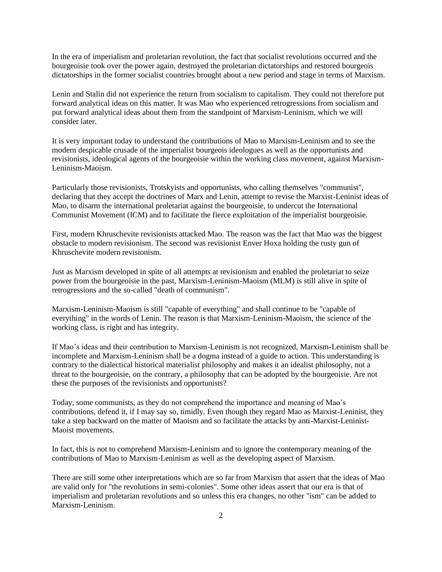In the era of imperialism and proletarian revolution, the fact that socialist revolutions occurred and the bourgeoisie took over the power again, destroyed the proletarian dictatorships and restored bourgeois dictatorships in the former socialist countries brought about a new period and stage in terms of Marxism.

Lenin and Stalin did not experience the return from socialism to capitalism. They could not therefore put forward analytical ideas on this matter. It was Mao who experienced retrogressions from socialism and put forward analytical ideas about them from the standpoint of Marxism-Leninism, which we will consider later.

It is very important today to understand the contributions of Mao to Marxism-Leninism and to see the modern despicable crusade of the imperialist bourgeois ideologues as well as the opportunists and revisionists, ideological agents of the bourgeoisie within the working class movement, against Marxism-Leninism-Maoism.

Particularly those revisionists, Trotskyists and opportunists, who calling themselves "communist", declaring that they accept the doctrines of Marx and Lenin, attempt to revise the Marxist-Leninist ideas of Mao, to disarm the international proletariat against the bourgeoisie, to undercut the International Communist Movement (ICM) and to facilitate the fierce exploitation of the imperialist bourgeoisie.

First, modern Khruschevite revisionists attacked Mao. The reason was the fact that Mao was the biggest obstacle to modern revisionism. The second was revisionist Enver Hoxa holding the rusty gun of Khruschevite modern revisionism.

Just as Marxism developed in spite of all attempts at revisionism and enabled the proletariat to seize power from the bourgeoisie in the past, Marxism-Leninism-Maoism (MLM) is still alive in spite of retrogressions and the so-called "death of communism".

Marxism-Leninism-Maoism is still "capable of everything" and shall continue to be "capable of everything" in the words of Lenin. The reason is that Marxism-Leninism-Maoism, the science of the working class, is right and has integrity.

If Mao's ideas and their contribution to Marxism-Leninism is not recognized, Marxism-Leninism shall be incomplete and Marxism-Leninism shall be a dogma instead of a guide to action. This understanding is contrary to the dialectical historical materialist philosophy and makes it an idealist philosophy, not a threat to the bourgeoisie, on the contrary, a philosophy that can be adopted by the bourgeoisie. Are not these the purposes of the revisionists and opportunists?

Today, some communists, as they do not comprehend the importance and meaning of Mao's contributions, defend it, if I may say so, timidly. Even though they regard Mao as Marxist-Leninist, they take a step backward on the matter of Maoism and so facilitate the attacks by anti-Marxist-Leninist-Maoist movements.

In fact, this is not to comprehend Marxism-Leninism and to ignore the contemporary meaning of the contributions of Mao to Marxism-Leninism as well as the developing aspect of Marxism.

There are still some other interpretations which are so far from Marxism that assert that the ideas of Mao are valid only for "the revolutions in semi-colonies". Some other ideas assert that our era is that of imperialism and proletarian revolutions and so unless this era changes, no other "ism" can be added to Marxism-Leninism.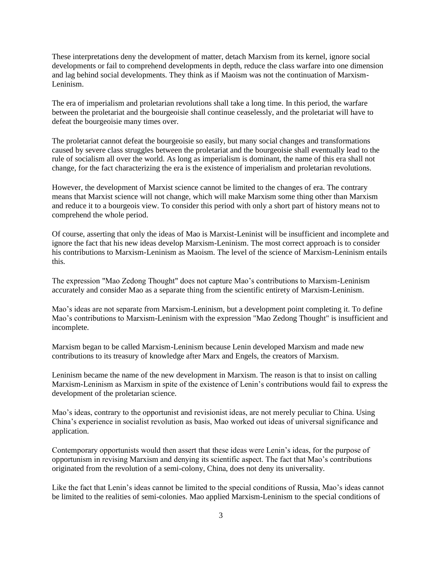These interpretations deny the development of matter, detach Marxism from its kernel, ignore social developments or fail to comprehend developments in depth, reduce the class warfare into one dimension and lag behind social developments. They think as if Maoism was not the continuation of Marxism-Leninism.

The era of imperialism and proletarian revolutions shall take a long time. In this period, the warfare between the proletariat and the bourgeoisie shall continue ceaselessly, and the proletariat will have to defeat the bourgeoisie many times over.

The proletariat cannot defeat the bourgeoisie so easily, but many social changes and transformations caused by severe class struggles between the proletariat and the bourgeoisie shall eventually lead to the rule of socialism all over the world. As long as imperialism is dominant, the name of this era shall not change, for the fact characterizing the era is the existence of imperialism and proletarian revolutions.

However, the development of Marxist science cannot be limited to the changes of era. The contrary means that Marxist science will not change, which will make Marxism some thing other than Marxism and reduce it to a bourgeois view. To consider this period with only a short part of history means not to comprehend the whole period.

Of course, asserting that only the ideas of Mao is Marxist-Leninist will be insufficient and incomplete and ignore the fact that his new ideas develop Marxism-Leninism. The most correct approach is to consider his contributions to Marxism-Leninism as Maoism. The level of the science of Marxism-Leninism entails this.

The expression "Mao Zedong Thought" does not capture Mao's contributions to Marxism-Leninism accurately and consider Mao as a separate thing from the scientific entirety of Marxism-Leninism.

Mao's ideas are not separate from Marxism-Leninism, but a development point completing it. To define Mao's contributions to Marxism-Leninism with the expression "Mao Zedong Thought" is insufficient and incomplete.

Marxism began to be called Marxism-Leninism because Lenin developed Marxism and made new contributions to its treasury of knowledge after Marx and Engels, the creators of Marxism.

Leninism became the name of the new development in Marxism. The reason is that to insist on calling Marxism-Leninism as Marxism in spite of the existence of Lenin's contributions would fail to express the development of the proletarian science.

Mao's ideas, contrary to the opportunist and revisionist ideas, are not merely peculiar to China. Using China's experience in socialist revolution as basis, Mao worked out ideas of universal significance and application.

Contemporary opportunists would then assert that these ideas were Lenin's ideas, for the purpose of opportunism in revising Marxism and denying its scientific aspect. The fact that Mao's contributions originated from the revolution of a semi-colony, China, does not deny its universality.

Like the fact that Lenin's ideas cannot be limited to the special conditions of Russia, Mao's ideas cannot be limited to the realities of semi-colonies. Mao applied Marxism-Leninism to the special conditions of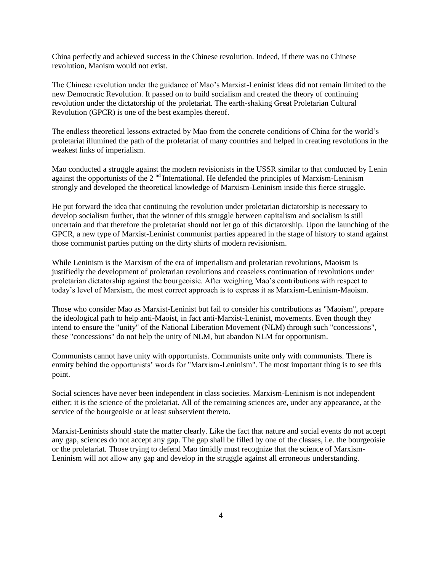China perfectly and achieved success in the Chinese revolution. Indeed, if there was no Chinese revolution, Maoism would not exist.

The Chinese revolution under the guidance of Mao's Marxist-Leninist ideas did not remain limited to the new Democratic Revolution. It passed on to build socialism and created the theory of continuing revolution under the dictatorship of the proletariat. The earth-shaking Great Proletarian Cultural Revolution (GPCR) is one of the best examples thereof.

The endless theoretical lessons extracted by Mao from the concrete conditions of China for the world's proletariat illumined the path of the proletariat of many countries and helped in creating revolutions in the weakest links of imperialism.

Mao conducted a struggle against the modern revisionists in the USSR similar to that conducted by Lenin against the opportunists of the  $2<sup>nd</sup>$  International. He defended the principles of Marxism-Leninism strongly and developed the theoretical knowledge of Marxism-Leninism inside this fierce struggle.

He put forward the idea that continuing the revolution under proletarian dictatorship is necessary to develop socialism further, that the winner of this struggle between capitalism and socialism is still uncertain and that therefore the proletariat should not let go of this dictatorship. Upon the launching of the GPCR, a new type of Marxist-Leninist communist parties appeared in the stage of history to stand against those communist parties putting on the dirty shirts of modern revisionism.

While Leninism is the Marxism of the era of imperialism and proletarian revolutions, Maoism is justifiedly the development of proletarian revolutions and ceaseless continuation of revolutions under proletarian dictatorship against the bourgeoisie. After weighing Mao's contributions with respect to today's level of Marxism, the most correct approach is to express it as Marxism-Leninism-Maoism.

Those who consider Mao as Marxist-Leninist but fail to consider his contributions as "Maoism", prepare the ideological path to help anti-Maoist, in fact anti-Marxist-Leninist, movements. Even though they intend to ensure the "unity" of the National Liberation Movement (NLM) through such "concessions", these "concessions" do not help the unity of NLM, but abandon NLM for opportunism.

Communists cannot have unity with opportunists. Communists unite only with communists. There is enmity behind the opportunists' words for "Marxism-Leninism". The most important thing is to see this point.

Social sciences have never been independent in class societies. Marxism-Leninism is not independent either; it is the science of the proletariat. All of the remaining sciences are, under any appearance, at the service of the bourgeoisie or at least subservient thereto.

Marxist-Leninists should state the matter clearly. Like the fact that nature and social events do not accept any gap, sciences do not accept any gap. The gap shall be filled by one of the classes, i.e. the bourgeoisie or the proletariat. Those trying to defend Mao timidly must recognize that the science of Marxism-Leninism will not allow any gap and develop in the struggle against all erroneous understanding.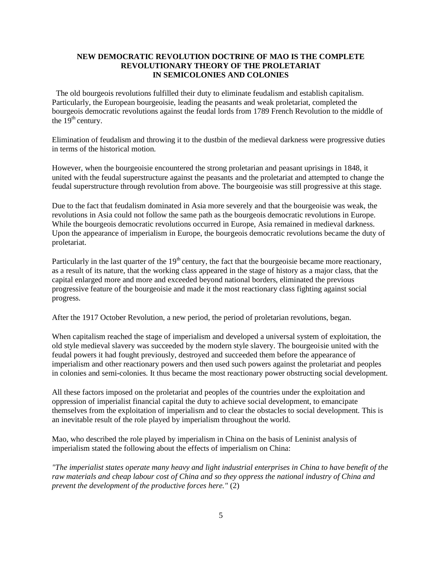## **NEW DEMOCRATIC REVOLUTION DOCTRINE OF MAO IS THE COMPLETE REVOLUTIONARY THEORY OF THE PROLETARIAT IN SEMICOLONIES AND COLONIES**

The old bourgeois revolutions fulfilled their duty to eliminate feudalism and establish capitalism. Particularly, the European bourgeoisie, leading the peasants and weak proletariat, completed the bourgeois democratic revolutions against the feudal lords from 1789 French Revolution to the middle of the  $19<sup>th</sup>$  century.

Elimination of feudalism and throwing it to the dustbin of the medieval darkness were progressive duties in terms of the historical motion.

However, when the bourgeoisie encountered the strong proletarian and peasant uprisings in 1848, it united with the feudal superstructure against the peasants and the proletariat and attempted to change the feudal superstructure through revolution from above. The bourgeoisie was still progressive at this stage.

Due to the fact that feudalism dominated in Asia more severely and that the bourgeoisie was weak, the revolutions in Asia could not follow the same path as the bourgeois democratic revolutions in Europe. While the bourgeois democratic revolutions occurred in Europe, Asia remained in medieval darkness. Upon the appearance of imperialism in Europe, the bourgeois democratic revolutions became the duty of proletariat.

Particularly in the last quarter of the  $19<sup>th</sup>$  century, the fact that the bourgeoisie became more reactionary, as a result of its nature, that the working class appeared in the stage of history as a major class, that the capital enlarged more and more and exceeded beyond national borders, eliminated the previous progressive feature of the bourgeoisie and made it the most reactionary class fighting against social progress.

After the 1917 October Revolution, a new period, the period of proletarian revolutions, began.

When capitalism reached the stage of imperialism and developed a universal system of exploitation, the old style medieval slavery was succeeded by the modern style slavery. The bourgeoisie united with the feudal powers it had fought previously, destroyed and succeeded them before the appearance of imperialism and other reactionary powers and then used such powers against the proletariat and peoples in colonies and semi-colonies. It thus became the most reactionary power obstructing social development.

All these factors imposed on the proletariat and peoples of the countries under the exploitation and oppression of imperialist financial capital the duty to achieve social development, to emancipate themselves from the exploitation of imperialism and to clear the obstacles to social development. This is an inevitable result of the role played by imperialism throughout the world.

Mao, who described the role played by imperialism in China on the basis of Leninist analysis of imperialism stated the following about the effects of imperialism on China:

*"The imperialist states operate many heavy and light industrial enterprises in China to have benefit of the raw materials and cheap labour cost of China and so they oppress the national industry of China and prevent the development of the productive forces here."* (2)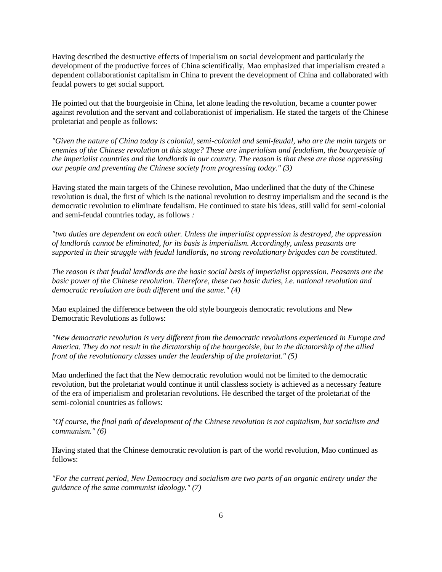Having described the destructive effects of imperialism on social development and particularly the development of the productive forces of China scientifically, Mao emphasized that imperialism created a dependent collaborationist capitalism in China to prevent the development of China and collaborated with feudal powers to get social support.

He pointed out that the bourgeoisie in China, let alone leading the revolution, became a counter power against revolution and the servant and collaborationist of imperialism. He stated the targets of the Chinese proletariat and people as follows:

*"Given the nature of China today is colonial, semi-colonial and semi-feudal, who are the main targets or enemies of the Chinese revolution at this stage? These are imperialism and feudalism, the bourgeoisie of the imperialist countries and the landlords in our country. The reason is that these are those oppressing our people and preventing the Chinese society from progressing today." (3)* 

Having stated the main targets of the Chinese revolution, Mao underlined that the duty of the Chinese revolution is dual, the first of which is the national revolution to destroy imperialism and the second is the democratic revolution to eliminate feudalism. He continued to state his ideas, still valid for semi-colonial and semi-feudal countries today, as follows *:* 

*"two duties are dependent on each other. Unless the imperialist oppression is destroyed, the oppression of landlords cannot be eliminated, for its basis is imperialism. Accordingly, unless peasants are supported in their struggle with feudal landlords, no strong revolutionary brigades can be constituted.* 

*The reason is that feudal landlords are the basic social basis of imperialist oppression. Peasants are the basic power of the Chinese revolution. Therefore, these two basic duties, i.e. national revolution and democratic revolution are both different and the same." (4)* 

Mao explained the difference between the old style bourgeois democratic revolutions and New Democratic Revolutions as follows:

*"New democratic revolution is very different from the democratic revolutions experienced in Europe and America. They do not result in the dictatorship of the bourgeoisie, but in the dictatorship of the allied front of the revolutionary classes under the leadership of the proletariat." (5)* 

Mao underlined the fact that the New democratic revolution would not be limited to the democratic revolution, but the proletariat would continue it until classless society is achieved as a necessary feature of the era of imperialism and proletarian revolutions. He described the target of the proletariat of the semi-colonial countries as follows:

*"Of course, the final path of development of the Chinese revolution is not capitalism, but socialism and communism." (6)* 

Having stated that the Chinese democratic revolution is part of the world revolution, Mao continued as follows:

*"For the current period, New Democracy and socialism are two parts of an organic entirety under the guidance of the same communist ideology." (7)*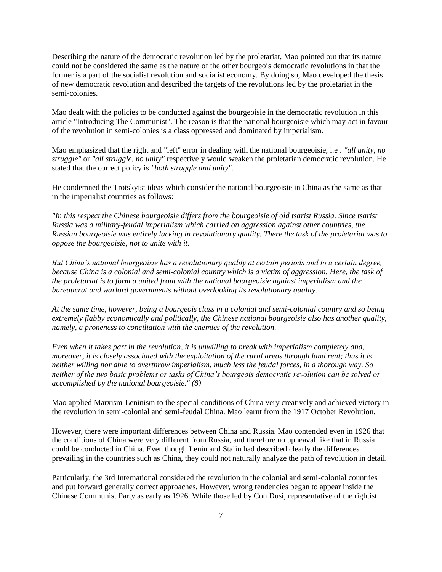Describing the nature of the democratic revolution led by the proletariat, Mao pointed out that its nature could not be considered the same as the nature of the other bourgeois democratic revolutions in that the former is a part of the socialist revolution and socialist economy. By doing so, Mao developed the thesis of new democratic revolution and described the targets of the revolutions led by the proletariat in the semi-colonies.

Mao dealt with the policies to be conducted against the bourgeoisie in the democratic revolution in this article "Introducing The Communist". The reason is that the national bourgeoisie which may act in favour of the revolution in semi-colonies is a class oppressed and dominated by imperialism.

Mao emphasized that the right and "left" error in dealing with the national bourgeoisie, i.e *. "all unity, no struggle"* or *"all struggle, no unity"* respectively would weaken the proletarian democratic revolution. He stated that the correct policy is *"both struggle and unity".* 

He condemned the Trotskyist ideas which consider the national bourgeoisie in China as the same as that in the imperialist countries as follows:

*"In this respect the Chinese bourgeoisie differs from the bourgeoisie of old tsarist Russia. Since tsarist Russia was a military-feudal imperialism which carried on aggression against other countries, the Russian bourgeoisie was entirely lacking in revolutionary quality. There the task of the proletariat was to oppose the bourgeoisie, not to unite with it.* 

*But China's national bourgeoisie has a revolutionary quality at certain periods and to a certain degree, because China is a colonial and semi-colonial country which is a victim of aggression. Here, the task of the proletariat is to form a united front with the national bourgeoisie against imperialism and the bureaucrat and warlord governments without overlooking its revolutionary quality.* 

*At the same time, however, being a bourgeois class in a colonial and semi-colonial country and so being extremely flabby economically and politically, the Chinese national bourgeoisie also has another quality, namely, a proneness to conciliation with the enemies of the revolution.* 

*Even when it takes part in the revolution, it is unwilling to break with imperialism completely and, moreover, it is closely associated with the exploitation of the rural areas through land rent; thus it is neither willing nor able to overthrow imperialism, much less the feudal forces, in a thorough way. So neither of the two basic problems or tasks of China's bourgeois democratic revolution can be solved or accomplished by the national bourgeoisie." (8)* 

Mao applied Marxism-Leninism to the special conditions of China very creatively and achieved victory in the revolution in semi-colonial and semi-feudal China. Mao learnt from the 1917 October Revolution.

However, there were important differences between China and Russia. Mao contended even in 1926 that the conditions of China were very different from Russia, and therefore no upheaval like that in Russia could be conducted in China. Even though Lenin and Stalin had described clearly the differences prevailing in the countries such as China, they could not naturally analyze the path of revolution in detail.

Particularly, the 3rd International considered the revolution in the colonial and semi-colonial countries and put forward generally correct approaches. However, wrong tendencies began to appear inside the Chinese Communist Party as early as 1926. While those led by Con Dusi, representative of the rightist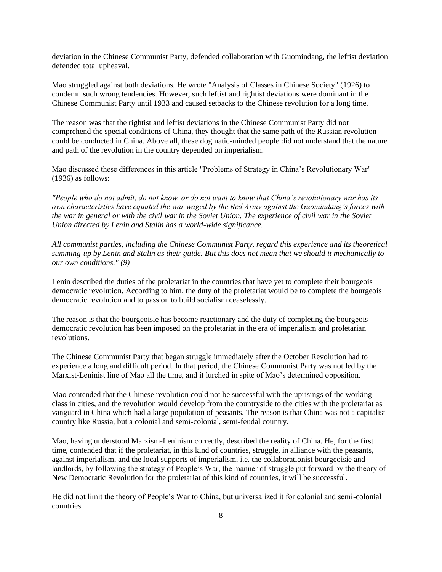deviation in the Chinese Communist Party, defended collaboration with Guomindang, the leftist deviation defended total upheaval.

Mao struggled against both deviations. He wrote "Analysis of Classes in Chinese Society" (1926) to condemn such wrong tendencies. However, such leftist and rightist deviations were dominant in the Chinese Communist Party until 1933 and caused setbacks to the Chinese revolution for a long time.

The reason was that the rightist and leftist deviations in the Chinese Communist Party did not comprehend the special conditions of China, they thought that the same path of the Russian revolution could be conducted in China. Above all, these dogmatic-minded people did not understand that the nature and path of the revolution in the country depended on imperialism.

Mao discussed these differences in this article "Problems of Strategy in China's Revolutionary War" (1936) as follows:

*"People who do not admit, do not know, or do not want to know that China's revolutionary war has its own characteristics have equated the war waged by the Red Army against the Guomindang's forces with the war in general or with the civil war in the Soviet Union. The experience of civil war in the Soviet Union directed by Lenin and Stalin has a world-wide significance.* 

*All communist parties, including the Chinese Communist Party, regard this experience and its theoretical summing-up by Lenin and Stalin as their guide. But this does not mean that we should it mechanically to our own conditions." (9)* 

Lenin described the duties of the proletariat in the countries that have yet to complete their bourgeois democratic revolution. According to him, the duty of the proletariat would be to complete the bourgeois democratic revolution and to pass on to build socialism ceaselessly.

The reason is that the bourgeoisie has become reactionary and the duty of completing the bourgeois democratic revolution has been imposed on the proletariat in the era of imperialism and proletarian revolutions.

The Chinese Communist Party that began struggle immediately after the October Revolution had to experience a long and difficult period. In that period, the Chinese Communist Party was not led by the Marxist-Leninist line of Mao all the time, and it lurched in spite of Mao's determined opposition.

Mao contended that the Chinese revolution could not be successful with the uprisings of the working class in cities, and the revolution would develop from the countryside to the cities with the proletariat as vanguard in China which had a large population of peasants. The reason is that China was not a capitalist country like Russia, but a colonial and semi-colonial, semi-feudal country.

Mao, having understood Marxism-Leninism correctly, described the reality of China. He, for the first time, contended that if the proletariat, in this kind of countries, struggle, in alliance with the peasants, against imperialism, and the local supports of imperialism, i.e. the collaborationist bourgeoisie and landlords, by following the strategy of People's War, the manner of struggle put forward by the theory of New Democratic Revolution for the proletariat of this kind of countries, it will be successful.

He did not limit the theory of People's War to China, but universalized it for colonial and semi-colonial countries.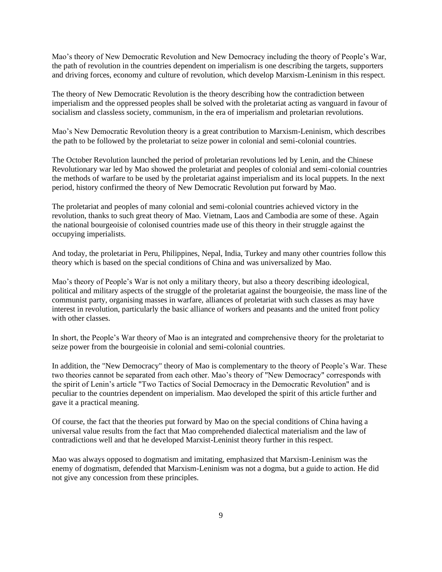Mao's theory of New Democratic Revolution and New Democracy including the theory of People's War, the path of revolution in the countries dependent on imperialism is one describing the targets, supporters and driving forces, economy and culture of revolution, which develop Marxism-Leninism in this respect.

The theory of New Democratic Revolution is the theory describing how the contradiction between imperialism and the oppressed peoples shall be solved with the proletariat acting as vanguard in favour of socialism and classless society, communism, in the era of imperialism and proletarian revolutions.

Mao's New Democratic Revolution theory is a great contribution to Marxism-Leninism, which describes the path to be followed by the proletariat to seize power in colonial and semi-colonial countries.

The October Revolution launched the period of proletarian revolutions led by Lenin, and the Chinese Revolutionary war led by Mao showed the proletariat and peoples of colonial and semi-colonial countries the methods of warfare to be used by the proletariat against imperialism and its local puppets. In the next period, history confirmed the theory of New Democratic Revolution put forward by Mao.

The proletariat and peoples of many colonial and semi-colonial countries achieved victory in the revolution, thanks to such great theory of Mao. Vietnam, Laos and Cambodia are some of these. Again the national bourgeoisie of colonised countries made use of this theory in their struggle against the occupying imperialists.

And today, the proletariat in Peru, Philippines, Nepal, India, Turkey and many other countries follow this theory which is based on the special conditions of China and was universalized by Mao.

Mao's theory of People's War is not only a military theory, but also a theory describing ideological, political and military aspects of the struggle of the proletariat against the bourgeoisie, the mass line of the communist party, organising masses in warfare, alliances of proletariat with such classes as may have interest in revolution, particularly the basic alliance of workers and peasants and the united front policy with other classes.

In short, the People's War theory of Mao is an integrated and comprehensive theory for the proletariat to seize power from the bourgeoisie in colonial and semi-colonial countries.

In addition, the "New Democracy" theory of Mao is complementary to the theory of People's War. These two theories cannot be separated from each other. Mao's theory of "New Democracy" corresponds with the spirit of Lenin's article "Two Tactics of Social Democracy in the Democratic Revolution" and is peculiar to the countries dependent on imperialism. Mao developed the spirit of this article further and gave it a practical meaning.

Of course, the fact that the theories put forward by Mao on the special conditions of China having a universal value results from the fact that Mao comprehended dialectical materialism and the law of contradictions well and that he developed Marxist-Leninist theory further in this respect.

Mao was always opposed to dogmatism and imitating, emphasized that Marxism-Leninism was the enemy of dogmatism, defended that Marxism-Leninism was not a dogma, but a guide to action. He did not give any concession from these principles.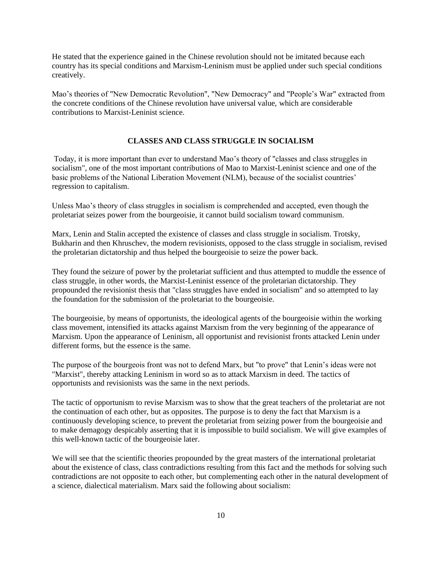He stated that the experience gained in the Chinese revolution should not be imitated because each country has its special conditions and Marxism-Leninism must be applied under such special conditions creatively.

Mao's theories of "New Democratic Revolution", "New Democracy" and "People's War" extracted from the concrete conditions of the Chinese revolution have universal value, which are considerable contributions to Marxist-Leninist science.

#### **CLASSES AND CLASS STRUGGLE IN SOCIALISM**

Today, it is more important than ever to understand Mao's theory of "classes and class struggles in socialism", one of the most important contributions of Mao to Marxist-Leninist science and one of the basic problems of the National Liberation Movement (NLM), because of the socialist countries' regression to capitalism.

Unless Mao's theory of class struggles in socialism is comprehended and accepted, even though the proletariat seizes power from the bourgeoisie, it cannot build socialism toward communism.

Marx, Lenin and Stalin accepted the existence of classes and class struggle in socialism. Trotsky, Bukharin and then Khruschev, the modern revisionists, opposed to the class struggle in socialism, revised the proletarian dictatorship and thus helped the bourgeoisie to seize the power back.

They found the seizure of power by the proletariat sufficient and thus attempted to muddle the essence of class struggle, in other words, the Marxist-Leninist essence of the proletarian dictatorship. They propounded the revisionist thesis that "class struggles have ended in socialism" and so attempted to lay the foundation for the submission of the proletariat to the bourgeoisie.

The bourgeoisie, by means of opportunists, the ideological agents of the bourgeoisie within the working class movement, intensified its attacks against Marxism from the very beginning of the appearance of Marxism. Upon the appearance of Leninism, all opportunist and revisionist fronts attacked Lenin under different forms, but the essence is the same.

The purpose of the bourgeois front was not to defend Marx, but "to prove" that Lenin's ideas were not "Marxist", thereby attacking Leninism in word so as to attack Marxism in deed. The tactics of opportunists and revisionists was the same in the next periods.

The tactic of opportunism to revise Marxism was to show that the great teachers of the proletariat are not the continuation of each other, but as opposites. The purpose is to deny the fact that Marxism is a continuously developing science, to prevent the proletariat from seizing power from the bourgeoisie and to make demagogy despicably asserting that it is impossible to build socialism. We will give examples of this well-known tactic of the bourgeoisie later.

We will see that the scientific theories propounded by the great masters of the international proletariat about the existence of class, class contradictions resulting from this fact and the methods for solving such contradictions are not opposite to each other, but complementing each other in the natural development of a science, dialectical materialism. Marx said the following about socialism: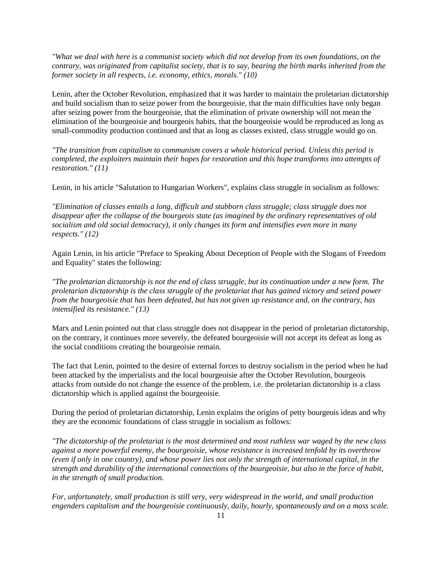*"What we deal with here is a communist society which did not develop from its own foundations, on the contrary, was originated from capitalist society, that is to say, bearing the birth marks inherited from the former society in all respects, i.e. economy, ethics, morals." (10)* 

Lenin, after the October Revolution, emphasized that it was harder to maintain the proletarian dictatorship and build socialism than to seize power from the bourgeoisie, that the main difficulties have only began after seizing power from the bourgeoisie, that the elimination of private ownership will not mean the elimination of the bourgeoisie and bourgeois habits, that the bourgeoisie would be reproduced as long as small-commodity production continued and that as long as classes existed, class struggle would go on.

*"The transition from capitalism to communism covers a whole historical period. Unless this period is completed, the exploiters maintain their hopes for restoration and this hope transforms into attempts of restoration." (11)* 

Lenin, in his article "Salutation to Hungarian Workers", explains class struggle in socialism as follows:

*"Elimination of classes entails a long, difficult and stubborn class struggle; class struggle does not disappear after the collapse of the bourgeois state (as imagined by the ordinary representatives of old socialism and old social democracy), it only changes its form and intensifies even more in many respects." (12)* 

Again Lenin, in his article "Preface to Speaking About Deception of People with the Slogans of Freedom and Equality" states the following:

*"The proletarian dictatorship is not the end of class struggle, but its continuation under a new form. The proletarian dictatorship is the class struggle of the proletariat that has gained victory and seized power from the bourgeoisie that has been defeated, but has not given up resistance and, on the contrary, has intensified its resistance." (13)* 

Marx and Lenin pointed out that class struggle does not disappear in the period of proletarian dictatorship, on the contrary, it continues more severely, the defeated bourgeoisie will not accept its defeat as long as the social conditions creating the bourgeoisie remain.

The fact that Lenin, pointed to the desire of external forces to destroy socialism in the period when he had been attacked by the imperialists and the local bourgeoisie after the October Revolution, bourgeois attacks from outside do not change the essence of the problem, i.e. the proletarian dictatorship is a class dictatorship which is applied against the bourgeoisie.

During the period of proletarian dictatorship, Lenin explains the origins of petty bourgeois ideas and why they are the economic foundations of class struggle in socialism as follows:

*"The dictatorship of the proletariat is the most determined and most ruthless war waged by the new class against a more powerful enemy, the bourgeoisie, whose resistance is increased tenfold by its overthrow (even if only in one country), and whose power lies not only the strength of international capital, in the strength and durability of the international connections of the bourgeoisie, but also in the force of habit, in the strength of small production.* 

*For, unfortunately, small production is still very, very widespread in the world, and small production engenders capitalism and the bourgeoisie continuously, daily, hourly, spontaneously and on a mass scale.*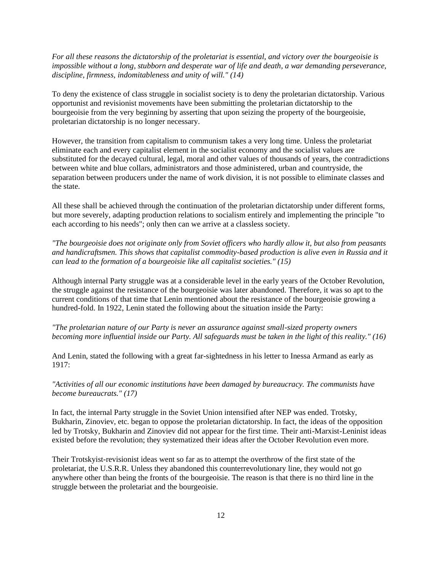*For all these reasons the dictatorship of the proletariat is essential, and victory over the bourgeoisie is impossible without a long, stubborn and desperate war of life and death, a war demanding perseverance, discipline, firmness, indomitableness and unity of will." (14)* 

To deny the existence of class struggle in socialist society is to deny the proletarian dictatorship. Various opportunist and revisionist movements have been submitting the proletarian dictatorship to the bourgeoisie from the very beginning by asserting that upon seizing the property of the bourgeoisie, proletarian dictatorship is no longer necessary.

However, the transition from capitalism to communism takes a very long time. Unless the proletariat eliminate each and every capitalist element in the socialist economy and the socialist values are substituted for the decayed cultural, legal, moral and other values of thousands of years, the contradictions between white and blue collars, administrators and those administered, urban and countryside, the separation between producers under the name of work division, it is not possible to eliminate classes and the state.

All these shall be achieved through the continuation of the proletarian dictatorship under different forms, but more severely, adapting production relations to socialism entirely and implementing the principle "to each according to his needs"; only then can we arrive at a classless society.

*"The bourgeoisie does not originate only from Soviet officers who hardly allow it, but also from peasants and handicraftsmen. This shows that capitalist commodity-based production is alive even in Russia and it can lead to the formation of a bourgeoisie like all capitalist societies." (15)* 

Although internal Party struggle was at a considerable level in the early years of the October Revolution, the struggle against the resistance of the bourgeoisie was later abandoned. Therefore, it was so apt to the current conditions of that time that Lenin mentioned about the resistance of the bourgeoisie growing a hundred-fold. In 1922, Lenin stated the following about the situation inside the Party:

*"The proletarian nature of our Party is never an assurance against small-sized property owners becoming more influential inside our Party. All safeguards must be taken in the light of this reality." (16)* 

And Lenin, stated the following with a great far-sightedness in his letter to Inessa Armand as early as 1917:

*"Activities of all our economic institutions have been damaged by bureaucracy. The communists have become bureaucrats." (17)* 

In fact, the internal Party struggle in the Soviet Union intensified after NEP was ended. Trotsky, Bukharin, Zinoviev, etc. began to oppose the proletarian dictatorship. In fact, the ideas of the opposition led by Trotsky, Bukharin and Zinoviev did not appear for the first time. Their anti-Marxist-Leninist ideas existed before the revolution; they systematized their ideas after the October Revolution even more.

Their Trotskyist-revisionist ideas went so far as to attempt the overthrow of the first state of the proletariat, the U.S.R.R. Unless they abandoned this counterrevolutionary line, they would not go anywhere other than being the fronts of the bourgeoisie. The reason is that there is no third line in the struggle between the proletariat and the bourgeoisie.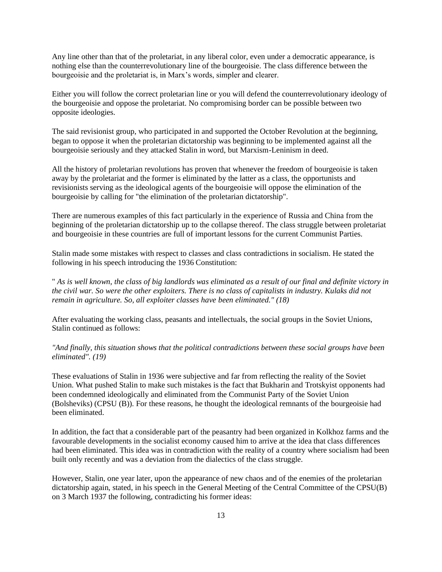Any line other than that of the proletariat, in any liberal color, even under a democratic appearance, is nothing else than the counterrevolutionary line of the bourgeoisie. The class difference between the bourgeoisie and the proletariat is, in Marx's words, simpler and clearer.

Either you will follow the correct proletarian line or you will defend the counterrevolutionary ideology of the bourgeoisie and oppose the proletariat. No compromising border can be possible between two opposite ideologies.

The said revisionist group, who participated in and supported the October Revolution at the beginning, began to oppose it when the proletarian dictatorship was beginning to be implemented against all the bourgeoisie seriously and they attacked Stalin in word, but Marxism-Leninism in deed.

All the history of proletarian revolutions has proven that whenever the freedom of bourgeoisie is taken away by the proletariat and the former is eliminated by the latter as a class, the opportunists and revisionists serving as the ideological agents of the bourgeoisie will oppose the elimination of the bourgeoisie by calling for "the elimination of the proletarian dictatorship".

There are numerous examples of this fact particularly in the experience of Russia and China from the beginning of the proletarian dictatorship up to the collapse thereof. The class struggle between proletariat and bourgeoisie in these countries are full of important lessons for the current Communist Parties.

Stalin made some mistakes with respect to classes and class contradictions in socialism. He stated the following in his speech introducing the 1936 Constitution:

" *As is well known, the class of big landlords was eliminated as a result of our final and definite victory in the civil war. So were the other exploiters. There is no class of capitalists in industry. Kulaks did not remain in agriculture. So, all exploiter classes have been eliminated." (18)* 

After evaluating the working class, peasants and intellectuals, the social groups in the Soviet Unions, Stalin continued as follows:

*"And finally, this situation shows that the political contradictions between these social groups have been eliminated". (19)* 

These evaluations of Stalin in 1936 were subjective and far from reflecting the reality of the Soviet Union. What pushed Stalin to make such mistakes is the fact that Bukharin and Trotskyist opponents had been condemned ideologically and eliminated from the Communist Party of the Soviet Union (Bolsheviks) (CPSU (B)). For these reasons, he thought the ideological remnants of the bourgeoisie had been eliminated.

In addition, the fact that a considerable part of the peasantry had been organized in Kolkhoz farms and the favourable developments in the socialist economy caused him to arrive at the idea that class differences had been eliminated. This idea was in contradiction with the reality of a country where socialism had been built only recently and was a deviation from the dialectics of the class struggle.

However, Stalin, one year later, upon the appearance of new chaos and of the enemies of the proletarian dictatorship again, stated, in his speech in the General Meeting of the Central Committee of the CPSU(B) on 3 March 1937 the following, contradicting his former ideas: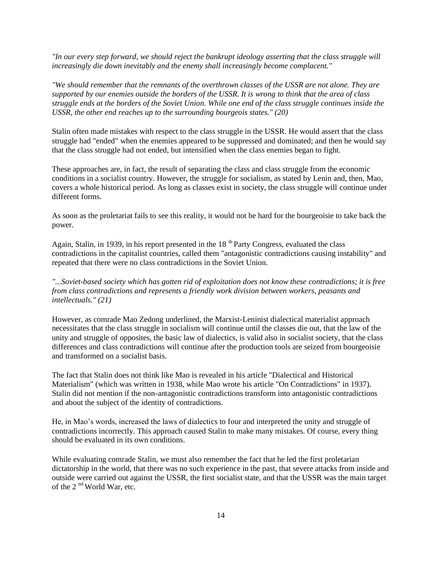*"In our every step forward, we should reject the bankrupt ideology asserting that the class struggle will increasingly die down inevitably and the enemy shall increasingly become complacent."* 

*"We should remember that the remnants of the overthrown classes of the USSR are not alone. They are supported by our enemies outside the borders of the USSR. It is wrong to think that the area of class struggle ends at the borders of the Soviet Union. While one end of the class struggle continues inside the USSR, the other end reaches up to the surrounding bourgeois states." (20)* 

Stalin often made mistakes with respect to the class struggle in the USSR. He would assert that the class struggle had "ended" when the enemies appeared to be suppressed and dominated; and then he would say that the class struggle had not ended, but intensified when the class enemies began to fight.

These approaches are, in fact, the result of separating the class and class struggle from the economic conditions in a socialist country. However, the struggle for socialism, as stated by Lenin and, then, Mao, covers a whole historical period. As long as classes exist in society, the class struggle will continue under different forms.

As soon as the proletariat fails to see this reality, it would not be hard for the bourgeoisie to take back the power.

Again, Stalin, in 1939, in his report presented in the  $18<sup>th</sup>$  Party Congress, evaluated the class contradictions in the capitalist countries, called them "antagonistic contradictions causing instability" and repeated that there were no class contradictions in the Soviet Union.

*"...Soviet-based society which has gotten rid of exploitation does not know these contradictions; it is free from class contradictions and represents a friendly work division between workers, peasants and intellectuals." (21)* 

However, as comrade Mao Zedong underlined, the Marxist-Leninist dialectical materialist approach necessitates that the class struggle in socialism will continue until the classes die out, that the law of the unity and struggle of opposites, the basic law of dialectics, is valid also in socialist society, that the class differences and class contradictions will continue after the production tools are seized from bourgeoisie and transformed on a socialist basis.

The fact that Stalin does not think like Mao is revealed in his article "Dialectical and Historical Materialism" (which was written in 1938, while Mao wrote his article "On Contradictions" in 1937). Stalin did not mention if the non-antagonistic contradictions transform into antagonistic contradictions and about the subject of the identity of contradictions.

He, in Mao's words, increased the laws of dialectics to four and interpreted the unity and struggle of contradictions incorrectly. This approach caused Stalin to make many mistakes. Of course, every thing should be evaluated in its own conditions.

While evaluating comrade Stalin, we must also remember the fact that he led the first proletarian dictatorship in the world, that there was no such experience in the past, that severe attacks from inside and outside were carried out against the USSR, the first socialist state, and that the USSR was the main target of the 2<sup>nd</sup> World War, etc.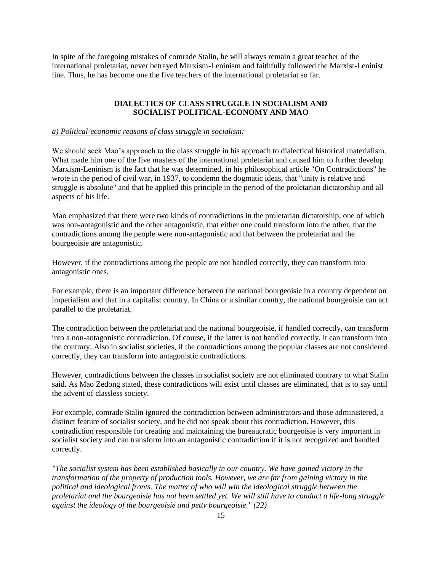In spite of the foregoing mistakes of comrade Stalin, he will always remain a great teacher of the international proletariat, never betrayed Marxism-Leninism and faithfully followed the Marxist-Leninist line. Thus, he has become one the five teachers of the international proletariat so far.

## **DIALECTICS OF CLASS STRUGGLE IN SOCIALISM AND SOCIALIST POLITICAL-ECONOMY AND MAO**

#### *a) Political-economic reasons of class struggle in socialism:*

We should seek Mao's approach to the class struggle in his approach to dialectical historical materialism. What made him one of the five masters of the international proletariat and caused him to further develop Marxism-Leninism is the fact that he was determined, in his philosophical article "On Contradictions" he wrote in the period of civil war, in 1937, to condemn the dogmatic ideas, that "unity is relative and struggle is absolute" and that he applied this principle in the period of the proletarian dictatorship and all aspects of his life.

Mao emphasized that there were two kinds of contradictions in the proletarian dictatorship, one of which was non-antagonistic and the other antagonistic, that either one could transform into the other, that the contradictions among the people were non-antagonistic and that between the proletariat and the bourgeoisie are antagonistic.

However, if the contradictions among the people are not handled correctly, they can transform into antagonistic ones.

For example, there is an important difference between the national bourgeoisie in a country dependent on imperialism and that in a capitalist country. In China or a similar country, the national bourgeoisie can act parallel to the proletariat.

The contradiction between the proletariat and the national bourgeoisie, if handled correctly, can transform into a non-antagonistic contradiction. Of course, if the latter is not handled correctly, it can transform into the contrary. Also in socialist societies, if the contradictions among the popular classes are not considered correctly, they can transform into antagonistic contradictions.

However, contradictions between the classes in socialist society are not eliminated contrary to what Stalin said. As Mao Zedong stated, these contradictions will exist until classes are eliminated, that is to say until the advent of classless society.

For example, comrade Stalin ignored the contradiction between administrators and those administered, a distinct feature of socialist society, and he did not speak about this contradiction. However, this contradiction responsible for creating and maintaining the bureaucratic bourgeoisie is very important in socialist society and can transform into an antagonistic contradiction if it is not recognized and handled correctly.

*"The socialist system has been established basically in our country. We have gained victory in the transformation of the property of production tools. However, we are far from gaining victory in the political and ideological fronts. The matter of who will win the ideological struggle between the proletariat and the bourgeoisie has not been settled yet. We will still have to conduct a life-long struggle against the ideology of the bourgeoisie and petty bourgeoisie." (22)*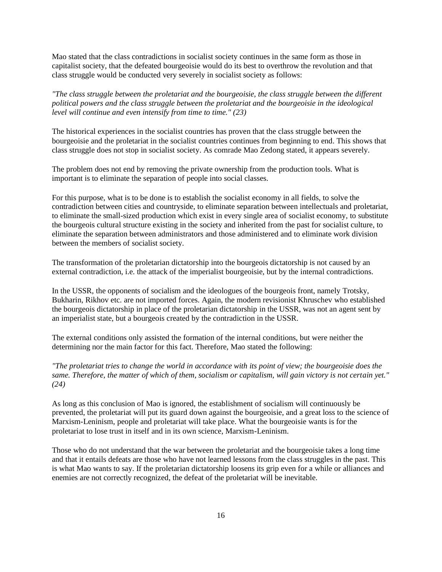Mao stated that the class contradictions in socialist society continues in the same form as those in capitalist society, that the defeated bourgeoisie would do its best to overthrow the revolution and that class struggle would be conducted very severely in socialist society as follows:

*"The class struggle between the proletariat and the bourgeoisie, the class struggle between the different political powers and the class struggle between the proletariat and the bourgeoisie in the ideological level will continue and even intensify from time to time." (23)* 

The historical experiences in the socialist countries has proven that the class struggle between the bourgeoisie and the proletariat in the socialist countries continues from beginning to end. This shows that class struggle does not stop in socialist society. As comrade Mao Zedong stated, it appears severely.

The problem does not end by removing the private ownership from the production tools. What is important is to eliminate the separation of people into social classes.

For this purpose, what is to be done is to establish the socialist economy in all fields, to solve the contradiction between cities and countryside, to eliminate separation between intellectuals and proletariat, to eliminate the small-sized production which exist in every single area of socialist economy, to substitute the bourgeois cultural structure existing in the society and inherited from the past for socialist culture, to eliminate the separation between administrators and those administered and to eliminate work division between the members of socialist society.

The transformation of the proletarian dictatorship into the bourgeois dictatorship is not caused by an external contradiction, i.e. the attack of the imperialist bourgeoisie, but by the internal contradictions.

In the USSR, the opponents of socialism and the ideologues of the bourgeois front, namely Trotsky, Bukharin, Rikhov etc. are not imported forces. Again, the modern revisionist Khruschev who established the bourgeois dictatorship in place of the proletarian dictatorship in the USSR, was not an agent sent by an imperialist state, but a bourgeois created by the contradiction in the USSR.

The external conditions only assisted the formation of the internal conditions, but were neither the determining nor the main factor for this fact. Therefore, Mao stated the following:

*"The proletariat tries to change the world in accordance with its point of view; the bourgeoisie does the same. Therefore, the matter of which of them, socialism or capitalism, will gain victory is not certain yet." (24)* 

As long as this conclusion of Mao is ignored, the establishment of socialism will continuously be prevented, the proletariat will put its guard down against the bourgeoisie, and a great loss to the science of Marxism-Leninism, people and proletariat will take place. What the bourgeoisie wants is for the proletariat to lose trust in itself and in its own science, Marxism-Leninism.

Those who do not understand that the war between the proletariat and the bourgeoisie takes a long time and that it entails defeats are those who have not learned lessons from the class struggles in the past. This is what Mao wants to say. If the proletarian dictatorship loosens its grip even for a while or alliances and enemies are not correctly recognized, the defeat of the proletariat will be inevitable.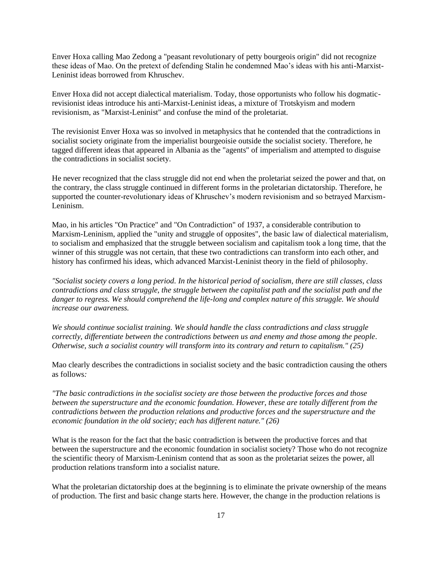Enver Hoxa calling Mao Zedong a "peasant revolutionary of petty bourgeois origin" did not recognize these ideas of Mao. On the pretext of defending Stalin he condemned Mao's ideas with his anti-Marxist-Leninist ideas borrowed from Khruschev.

Enver Hoxa did not accept dialectical materialism. Today, those opportunists who follow his dogmaticrevisionist ideas introduce his anti-Marxist-Leninist ideas, a mixture of Trotskyism and modern revisionism, as "Marxist-Leninist" and confuse the mind of the proletariat.

The revisionist Enver Hoxa was so involved in metaphysics that he contended that the contradictions in socialist society originate from the imperialist bourgeoisie outside the socialist society. Therefore, he tagged different ideas that appeared in Albania as the "agents" of imperialism and attempted to disguise the contradictions in socialist society.

He never recognized that the class struggle did not end when the proletariat seized the power and that, on the contrary, the class struggle continued in different forms in the proletarian dictatorship. Therefore, he supported the counter-revolutionary ideas of Khruschev's modern revisionism and so betrayed Marxism-Leninism.

Mao, in his articles "On Practice" and "On Contradiction" of 1937, a considerable contribution to Marxism-Leninism, applied the "unity and struggle of opposites", the basic law of dialectical materialism, to socialism and emphasized that the struggle between socialism and capitalism took a long time, that the winner of this struggle was not certain, that these two contradictions can transform into each other, and history has confirmed his ideas, which advanced Marxist-Leninist theory in the field of philosophy.

*"Socialist society covers a long period. In the historical period of socialism, there are still classes, class contradictions and class struggle, the struggle between the capitalist path and the socialist path and the danger to regress. We should comprehend the life-long and complex nature of this struggle. We should increase our awareness.* 

*We should continue socialist training. We should handle the class contradictions and class struggle correctly, differentiate between the contradictions between us and enemy and those among the people. Otherwise, such a socialist country will transform into its contrary and return to capitalism." (25)* 

Mao clearly describes the contradictions in socialist society and the basic contradiction causing the others as follows*:* 

*"The basic contradictions in the socialist society are those between the productive forces and those between the superstructure and the economic foundation. However, these are totally different from the contradictions between the production relations and productive forces and the superstructure and the economic foundation in the old society; each has different nature." (26)* 

What is the reason for the fact that the basic contradiction is between the productive forces and that between the superstructure and the economic foundation in socialist society? Those who do not recognize the scientific theory of Marxism-Leninism contend that as soon as the proletariat seizes the power, all production relations transform into a socialist nature.

What the proletarian dictatorship does at the beginning is to eliminate the private ownership of the means of production. The first and basic change starts here. However, the change in the production relations is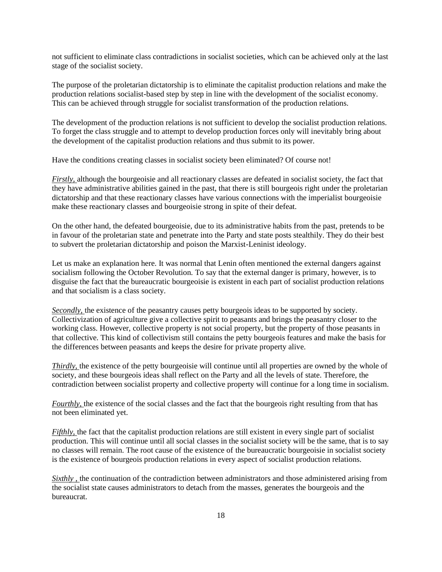not sufficient to eliminate class contradictions in socialist societies, which can be achieved only at the last stage of the socialist society.

The purpose of the proletarian dictatorship is to eliminate the capitalist production relations and make the production relations socialist-based step by step in line with the development of the socialist economy. This can be achieved through struggle for socialist transformation of the production relations.

The development of the production relations is not sufficient to develop the socialist production relations. To forget the class struggle and to attempt to develop production forces only will inevitably bring about the development of the capitalist production relations and thus submit to its power.

Have the conditions creating classes in socialist society been eliminated? Of course not!

*Firstly,* although the bourgeoisie and all reactionary classes are defeated in socialist society, the fact that they have administrative abilities gained in the past, that there is still bourgeois right under the proletarian dictatorship and that these reactionary classes have various connections with the imperialist bourgeoisie make these reactionary classes and bourgeoisie strong in spite of their defeat.

On the other hand, the defeated bourgeoisie, due to its administrative habits from the past, pretends to be in favour of the proletarian state and penetrate into the Party and state posts stealthily. They do their best to subvert the proletarian dictatorship and poison the Marxist-Leninist ideology.

Let us make an explanation here. It was normal that Lenin often mentioned the external dangers against socialism following the October Revolution. To say that the external danger is primary, however, is to disguise the fact that the bureaucratic bourgeoisie is existent in each part of socialist production relations and that socialism is a class society.

*Secondly,* the existence of the peasantry causes petty bourgeois ideas to be supported by society. Collectivization of agriculture give a collective spirit to peasants and brings the peasantry closer to the working class. However, collective property is not social property, but the property of those peasants in that collective. This kind of collectivism still contains the petty bourgeois features and make the basis for the differences between peasants and keeps the desire for private property alive.

*Thirdly*, the existence of the petty bourgeoisie will continue until all properties are owned by the whole of society, and these bourgeois ideas shall reflect on the Party and all the levels of state. Therefore, the contradiction between socialist property and collective property will continue for a long time in socialism.

*Fourthly,* the existence of the social classes and the fact that the bourgeois right resulting from that has not been eliminated yet.

*Fifthly,* the fact that the capitalist production relations are still existent in every single part of socialist production. This will continue until all social classes in the socialist society will be the same, that is to say no classes will remain. The root cause of the existence of the bureaucratic bourgeoisie in socialist society is the existence of bourgeois production relations in every aspect of socialist production relations.

*Sixthly*, the continuation of the contradiction between administrators and those administered arising from the socialist state causes administrators to detach from the masses, generates the bourgeois and the bureaucrat.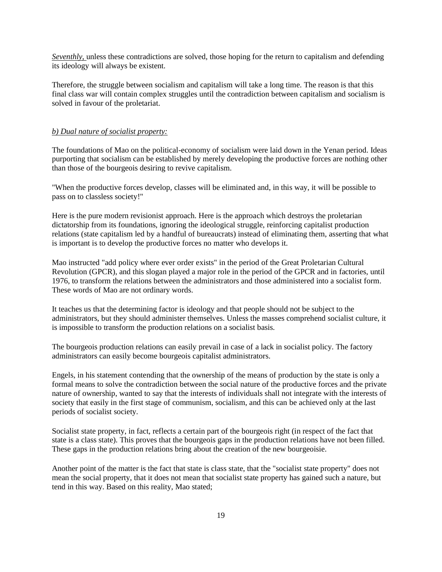*Seventhly,* unless these contradictions are solved, those hoping for the return to capitalism and defending its ideology will always be existent.

Therefore, the struggle between socialism and capitalism will take a long time. The reason is that this final class war will contain complex struggles until the contradiction between capitalism and socialism is solved in favour of the proletariat.

#### *b) Dual nature of socialist property:*

The foundations of Mao on the political-economy of socialism were laid down in the Yenan period. Ideas purporting that socialism can be established by merely developing the productive forces are nothing other than those of the bourgeois desiring to revive capitalism.

"When the productive forces develop, classes will be eliminated and, in this way, it will be possible to pass on to classless society!"

Here is the pure modern revisionist approach. Here is the approach which destroys the proletarian dictatorship from its foundations, ignoring the ideological struggle, reinforcing capitalist production relations (state capitalism led by a handful of bureaucrats) instead of eliminating them, asserting that what is important is to develop the productive forces no matter who develops it.

Mao instructed "add policy where ever order exists" in the period of the Great Proletarian Cultural Revolution (GPCR), and this slogan played a major role in the period of the GPCR and in factories, until 1976, to transform the relations between the administrators and those administered into a socialist form. These words of Mao are not ordinary words.

It teaches us that the determining factor is ideology and that people should not be subject to the administrators, but they should administer themselves. Unless the masses comprehend socialist culture, it is impossible to transform the production relations on a socialist basis.

The bourgeois production relations can easily prevail in case of a lack in socialist policy. The factory administrators can easily become bourgeois capitalist administrators.

Engels, in his statement contending that the ownership of the means of production by the state is only a formal means to solve the contradiction between the social nature of the productive forces and the private nature of ownership, wanted to say that the interests of individuals shall not integrate with the interests of society that easily in the first stage of communism, socialism, and this can be achieved only at the last periods of socialist society.

Socialist state property, in fact, reflects a certain part of the bourgeois right (in respect of the fact that state is a class state). This proves that the bourgeois gaps in the production relations have not been filled. These gaps in the production relations bring about the creation of the new bourgeoisie.

Another point of the matter is the fact that state is class state, that the "socialist state property" does not mean the social property, that it does not mean that socialist state property has gained such a nature, but tend in this way. Based on this reality, Mao stated;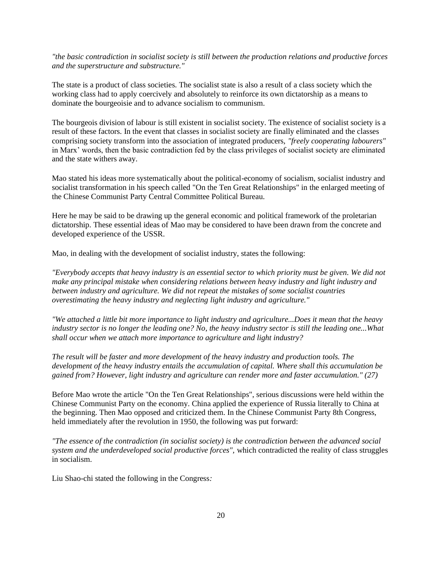*"the basic contradiction in socialist society is still between the production relations and productive forces and the superstructure and substructure."* 

The state is a product of class societies. The socialist state is also a result of a class society which the working class had to apply coercively and absolutely to reinforce its own dictatorship as a means to dominate the bourgeoisie and to advance socialism to communism.

The bourgeois division of labour is still existent in socialist society. The existence of socialist society is a result of these factors. In the event that classes in socialist society are finally eliminated and the classes comprising society transform into the association of integrated producers, *"freely cooperating labourers"*  in Marx' words, then the basic contradiction fed by the class privileges of socialist society are eliminated and the state withers away.

Mao stated his ideas more systematically about the political-economy of socialism, socialist industry and socialist transformation in his speech called "On the Ten Great Relationships" in the enlarged meeting of the Chinese Communist Party Central Committee Political Bureau.

Here he may be said to be drawing up the general economic and political framework of the proletarian dictatorship. These essential ideas of Mao may be considered to have been drawn from the concrete and developed experience of the USSR.

Mao, in dealing with the development of socialist industry, states the following:

*"Everybody accepts that heavy industry is an essential sector to which priority must be given. We did not make any principal mistake when considering relations between heavy industry and light industry and between industry and agriculture. We did not repeat the mistakes of some socialist countries overestimating the heavy industry and neglecting light industry and agriculture."* 

*"We attached a little bit more importance to light industry and agriculture...Does it mean that the heavy industry sector is no longer the leading one? No, the heavy industry sector is still the leading one...What shall occur when we attach more importance to agriculture and light industry?* 

*The result will be faster and more development of the heavy industry and production tools. The development of the heavy industry entails the accumulation of capital. Where shall this accumulation be gained from? However, light industry and agriculture can render more and faster accumulation." (27)* 

Before Mao wrote the article "On the Ten Great Relationships", serious discussions were held within the Chinese Communist Party on the economy. China applied the experience of Russia literally to China at the beginning. Then Mao opposed and criticized them. In the Chinese Communist Party 8th Congress, held immediately after the revolution in 1950, the following was put forward:

*"The essence of the contradiction (in socialist society) is the contradiction between the advanced social system and the underdeveloped social productive forces",* which contradicted the reality of class struggles in socialism.

Liu Shao-chi stated the following in the Congress*:*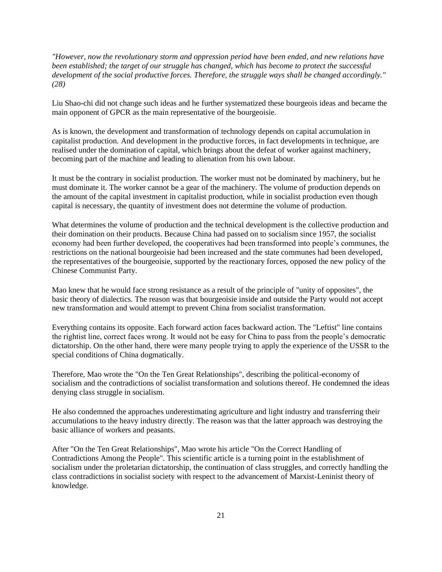*"However, now the revolutionary storm and oppression period have been ended, and new relations have been established; the target of our struggle has changed, which has become to protect the successful development of the social productive forces. Therefore, the struggle ways shall be changed accordingly." (28)* 

Liu Shao-chi did not change such ideas and he further systematized these bourgeois ideas and became the main opponent of GPCR as the main representative of the bourgeoisie.

As is known, the development and transformation of technology depends on capital accumulation in capitalist production. And development in the productive forces, in fact developments in technique, are realised under the domination of capital, which brings about the defeat of worker against machinery, becoming part of the machine and leading to alienation from his own labour.

It must be the contrary in socialist production. The worker must not be dominated by machinery, but he must dominate it. The worker cannot be a gear of the machinery. The volume of production depends on the amount of the capital investment in capitalist production, while in socialist production even though capital is necessary, the quantity of investment does not determine the volume of production.

What determines the volume of production and the technical development is the collective production and their domination on their products. Because China had passed on to socialism since 1957, the socialist economy had been further developed, the cooperatives had been transformed into people's communes, the restrictions on the national bourgeoisie had been increased and the state communes had been developed, the representatives of the bourgeoisie, supported by the reactionary forces, opposed the new policy of the Chinese Communist Party.

Mao knew that he would face strong resistance as a result of the principle of "unity of opposites", the basic theory of dialectics. The reason was that bourgeoisie inside and outside the Party would not accept new transformation and would attempt to prevent China from socialist transformation.

Everything contains its opposite. Each forward action faces backward action. The "Leftist" line contains the rightist line, correct faces wrong. It would not be easy for China to pass from the people's democratic dictatorship. On the other hand, there were many people trying to apply the experience of the USSR to the special conditions of China dogmatically.

Therefore, Mao wrote the "On the Ten Great Relationships", describing the political-economy of socialism and the contradictions of socialist transformation and solutions thereof. He condemned the ideas denying class struggle in socialism.

He also condemned the approaches underestimating agriculture and light industry and transferring their accumulations to the heavy industry directly. The reason was that the latter approach was destroying the basic alliance of workers and peasants.

After "On the Ten Great Relationships", Mao wrote his article "On the Correct Handling of Contradictions Among the People". This scientific article is a turning point in the establishment of socialism under the proletarian dictatorship, the continuation of class struggles, and correctly handling the class contradictions in socialist society with respect to the advancement of Marxist-Leninist theory of knowledge.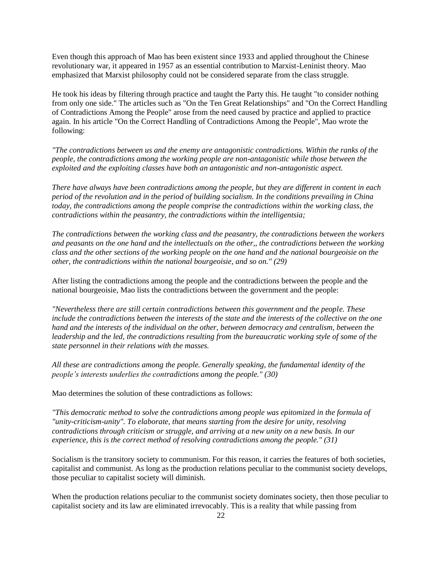Even though this approach of Mao has been existent since 1933 and applied throughout the Chinese revolutionary war, it appeared in 1957 as an essential contribution to Marxist-Leninist theory. Mao emphasized that Marxist philosophy could not be considered separate from the class struggle.

He took his ideas by filtering through practice and taught the Party this. He taught "to consider nothing from only one side." The articles such as "On the Ten Great Relationships" and "On the Correct Handling of Contradictions Among the People" arose from the need caused by practice and applied to practice again. In his article "On the Correct Handling of Contradictions Among the People", Mao wrote the following:

*"The contradictions between us and the enemy are antagonistic contradictions. Within the ranks of the people, the contradictions among the working people are non-antagonistic while those between the exploited and the exploiting classes have both an antagonistic and non-antagonistic aspect.* 

*There have always have been contradictions among the people, but they are different in content in each period of the revolution and in the period of building socialism. In the conditions prevailing in China today, the contradictions among the people comprise the contradictions within the working class, the contradictions within the peasantry, the contradictions within the intelligentsia;* 

*The contradictions between the working class and the peasantry, the contradictions between the workers and peasants on the one hand and the intellectuals on the other,, the contradictions between the working class and the other sections of the working people on the one hand and the national bourgeoisie on the other, the contradictions within the national bourgeoisie, and so on." (29)* 

After listing the contradictions among the people and the contradictions between the people and the national bourgeoisie, Mao lists the contradictions between the government and the people:

*"Nevertheless there are still certain contradictions between this government and the people. These include the contradictions between the interests of the state and the interests of the collective on the one hand and the interests of the individual on the other, between democracy and centralism, between the leadership and the led, the contradictions resulting from the bureaucratic working style of some of the state personnel in their relations with the masses.* 

*All these are contradictions among the people. Generally speaking, the fundamental identity of the people's interests underlies the contradictions among the people." (30)* 

Mao determines the solution of these contradictions as follows:

*"This democratic method to solve the contradictions among people was epitomized in the formula of "unity-criticism-unity". To elaborate, that means starting from the desire for unity, resolving contradictions through criticism or struggle, and arriving at a new unity on a new basis. In our experience, this is the correct method of resolving contradictions among the people." (31)* 

Socialism is the transitory society to communism. For this reason, it carries the features of both societies, capitalist and communist. As long as the production relations peculiar to the communist society develops, those peculiar to capitalist society will diminish.

When the production relations peculiar to the communist society dominates society, then those peculiar to capitalist society and its law are eliminated irrevocably. This is a reality that while passing from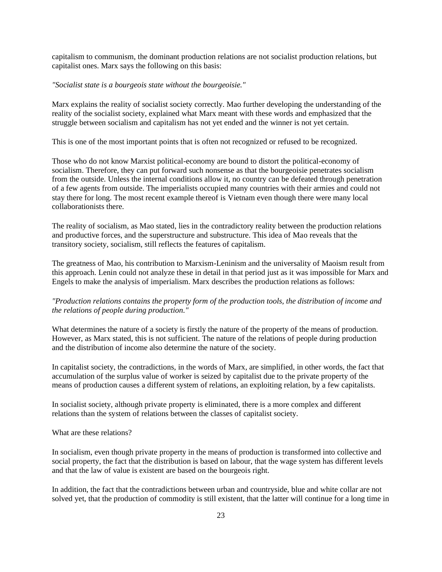capitalism to communism, the dominant production relations are not socialist production relations, but capitalist ones. Marx says the following on this basis:

#### *"Socialist state is a bourgeois state without the bourgeoisie."*

Marx explains the reality of socialist society correctly. Mao further developing the understanding of the reality of the socialist society, explained what Marx meant with these words and emphasized that the struggle between socialism and capitalism has not yet ended and the winner is not yet certain.

This is one of the most important points that is often not recognized or refused to be recognized.

Those who do not know Marxist political-economy are bound to distort the political-economy of socialism. Therefore, they can put forward such nonsense as that the bourgeoisie penetrates socialism from the outside. Unless the internal conditions allow it, no country can be defeated through penetration of a few agents from outside. The imperialists occupied many countries with their armies and could not stay there for long. The most recent example thereof is Vietnam even though there were many local collaborationists there.

The reality of socialism, as Mao stated, lies in the contradictory reality between the production relations and productive forces, and the superstructure and substructure. This idea of Mao reveals that the transitory society, socialism, still reflects the features of capitalism.

The greatness of Mao, his contribution to Marxism-Leninism and the universality of Maoism result from this approach. Lenin could not analyze these in detail in that period just as it was impossible for Marx and Engels to make the analysis of imperialism. Marx describes the production relations as follows:

## *"Production relations contains the property form of the production tools, the distribution of income and the relations of people during production."*

What determines the nature of a society is firstly the nature of the property of the means of production. However, as Marx stated, this is not sufficient. The nature of the relations of people during production and the distribution of income also determine the nature of the society.

In capitalist society, the contradictions, in the words of Marx, are simplified, in other words, the fact that accumulation of the surplus value of worker is seized by capitalist due to the private property of the means of production causes a different system of relations, an exploiting relation, by a few capitalists.

In socialist society, although private property is eliminated, there is a more complex and different relations than the system of relations between the classes of capitalist society.

#### What are these relations?

In socialism, even though private property in the means of production is transformed into collective and social property, the fact that the distribution is based on labour, that the wage system has different levels and that the law of value is existent are based on the bourgeois right.

In addition, the fact that the contradictions between urban and countryside, blue and white collar are not solved yet, that the production of commodity is still existent, that the latter will continue for a long time in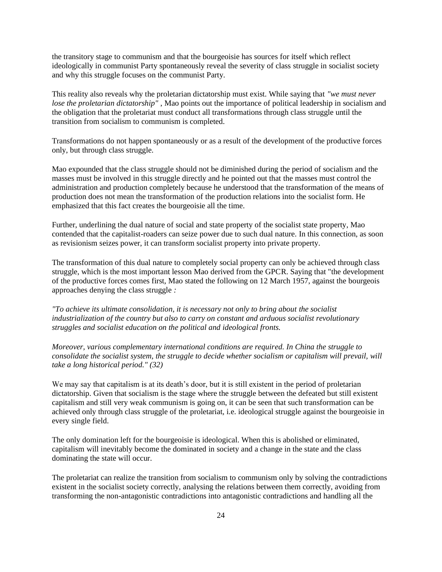the transitory stage to communism and that the bourgeoisie has sources for itself which reflect ideologically in communist Party spontaneously reveal the severity of class struggle in socialist society and why this struggle focuses on the communist Party.

This reality also reveals why the proletarian dictatorship must exist. While saying that *"we must never lose the proletarian dictatorship*<sup>"</sup>, Mao points out the importance of political leadership in socialism and the obligation that the proletariat must conduct all transformations through class struggle until the transition from socialism to communism is completed.

Transformations do not happen spontaneously or as a result of the development of the productive forces only, but through class struggle.

Mao expounded that the class struggle should not be diminished during the period of socialism and the masses must be involved in this struggle directly and he pointed out that the masses must control the administration and production completely because he understood that the transformation of the means of production does not mean the transformation of the production relations into the socialist form. He emphasized that this fact creates the bourgeoisie all the time.

Further, underlining the dual nature of social and state property of the socialist state property, Mao contended that the capitalist-roaders can seize power due to such dual nature. In this connection, as soon as revisionism seizes power, it can transform socialist property into private property.

The transformation of this dual nature to completely social property can only be achieved through class struggle, which is the most important lesson Mao derived from the GPCR. Saying that "the development of the productive forces comes first, Mao stated the following on 12 March 1957, against the bourgeois approaches denying the class struggle *:* 

*"To achieve its ultimate consolidation, it is necessary not only to bring about the socialist industrialization of the country but also to carry on constant and arduous socialist revolutionary struggles and socialist education on the political and ideological fronts.* 

*Moreover, various complementary international conditions are required. In China the struggle to consolidate the socialist system, the struggle to decide whether socialism or capitalism will prevail, will take a long historical period." (32)* 

We may say that capitalism is at its death's door, but it is still existent in the period of proletarian dictatorship. Given that socialism is the stage where the struggle between the defeated but still existent capitalism and still very weak communism is going on, it can be seen that such transformation can be achieved only through class struggle of the proletariat, i.e. ideological struggle against the bourgeoisie in every single field.

The only domination left for the bourgeoisie is ideological. When this is abolished or eliminated, capitalism will inevitably become the dominated in society and a change in the state and the class dominating the state will occur.

The proletariat can realize the transition from socialism to communism only by solving the contradictions existent in the socialist society correctly, analysing the relations between them correctly, avoiding from transforming the non-antagonistic contradictions into antagonistic contradictions and handling all the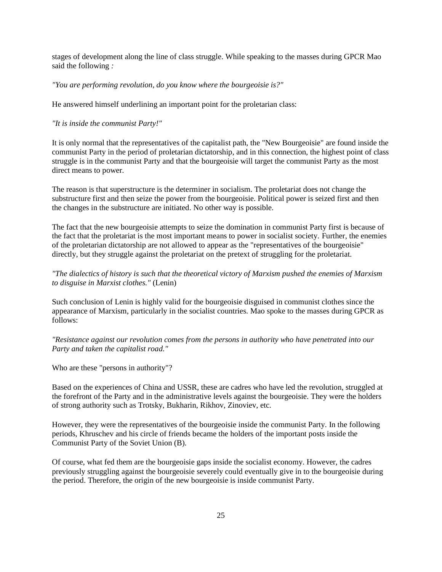stages of development along the line of class struggle. While speaking to the masses during GPCR Mao said the following *:* 

*"You are performing revolution, do you know where the bourgeoisie is?"* 

He answered himself underlining an important point for the proletarian class:

#### *"It is inside the communist Party!"*

It is only normal that the representatives of the capitalist path, the "New Bourgeoisie" are found inside the communist Party in the period of proletarian dictatorship, and in this connection, the highest point of class struggle is in the communist Party and that the bourgeoisie will target the communist Party as the most direct means to power.

The reason is that superstructure is the determiner in socialism. The proletariat does not change the substructure first and then seize the power from the bourgeoisie. Political power is seized first and then the changes in the substructure are initiated. No other way is possible.

The fact that the new bourgeoisie attempts to seize the domination in communist Party first is because of the fact that the proletariat is the most important means to power in socialist society. Further, the enemies of the proletarian dictatorship are not allowed to appear as the "representatives of the bourgeoisie" directly, but they struggle against the proletariat on the pretext of struggling for the proletariat.

## *"The dialectics of history is such that the theoretical victory of Marxism pushed the enemies of Marxism to disguise in Marxist clothes."* (Lenin)

Such conclusion of Lenin is highly valid for the bourgeoisie disguised in communist clothes since the appearance of Marxism, particularly in the socialist countries. Mao spoke to the masses during GPCR as follows:

## *"Resistance against our revolution comes from the persons in authority who have penetrated into our Party and taken the capitalist road."*

Who are these "persons in authority"?

Based on the experiences of China and USSR, these are cadres who have led the revolution, struggled at the forefront of the Party and in the administrative levels against the bourgeoisie. They were the holders of strong authority such as Trotsky, Bukharin, Rikhov, Zinoviev, etc.

However, they were the representatives of the bourgeoisie inside the communist Party. In the following periods, Khruschev and his circle of friends became the holders of the important posts inside the Communist Party of the Soviet Union (B).

Of course, what fed them are the bourgeoisie gaps inside the socialist economy. However, the cadres previously struggling against the bourgeoisie severely could eventually give in to the bourgeoisie during the period. Therefore, the origin of the new bourgeoisie is inside communist Party.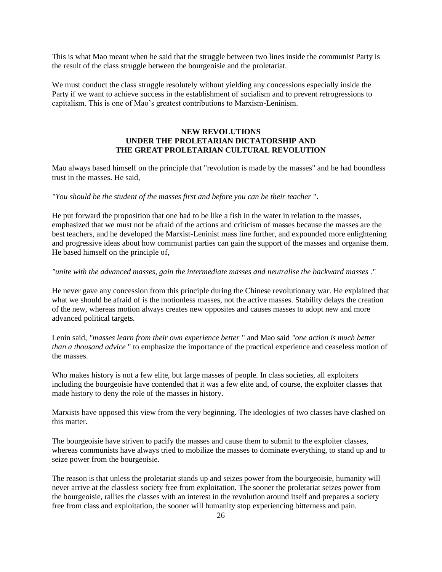This is what Mao meant when he said that the struggle between two lines inside the communist Party is the result of the class struggle between the bourgeoisie and the proletariat.

We must conduct the class struggle resolutely without yielding any concessions especially inside the Party if we want to achieve success in the establishment of socialism and to prevent retrogressions to capitalism. This is one of Mao's greatest contributions to Marxism-Leninism.

## **NEW REVOLUTIONS UNDER THE PROLETARIAN DICTATORSHIP AND THE GREAT PROLETARIAN CULTURAL REVOLUTION**

Mao always based himself on the principle that "revolution is made by the masses" and he had boundless trust in the masses. He said,

#### *"You should be the student of the masses first and before you can be their teacher* ".

He put forward the proposition that one had to be like a fish in the water in relation to the masses, emphasized that we must not be afraid of the actions and criticism of masses because the masses are the best teachers, and he developed the Marxist-Leninist mass line further, and expounded more enlightening and progressive ideas about how communist parties can gain the support of the masses and organise them. He based himself on the principle of,

## *"unite with the advanced masses, gain the intermediate masses and neutralise the backward masses* ."

He never gave any concession from this principle during the Chinese revolutionary war. He explained that what we should be afraid of is the motionless masses, not the active masses. Stability delays the creation of the new, whereas motion always creates new opposites and causes masses to adopt new and more advanced political targets.

Lenin said, *"masses learn from their own experience better* " and Mao said *"one action is much better than a thousand advice* " to emphasize the importance of the practical experience and ceaseless motion of the masses.

Who makes history is not a few elite, but large masses of people. In class societies, all exploiters including the bourgeoisie have contended that it was a few elite and, of course, the exploiter classes that made history to deny the role of the masses in history.

Marxists have opposed this view from the very beginning. The ideologies of two classes have clashed on this matter.

The bourgeoisie have striven to pacify the masses and cause them to submit to the exploiter classes, whereas communists have always tried to mobilize the masses to dominate everything, to stand up and to seize power from the bourgeoisie.

The reason is that unless the proletariat stands up and seizes power from the bourgeoisie, humanity will never arrive at the classless society free from exploitation. The sooner the proletariat seizes power from the bourgeoisie, rallies the classes with an interest in the revolution around itself and prepares a society free from class and exploitation, the sooner will humanity stop experiencing bitterness and pain.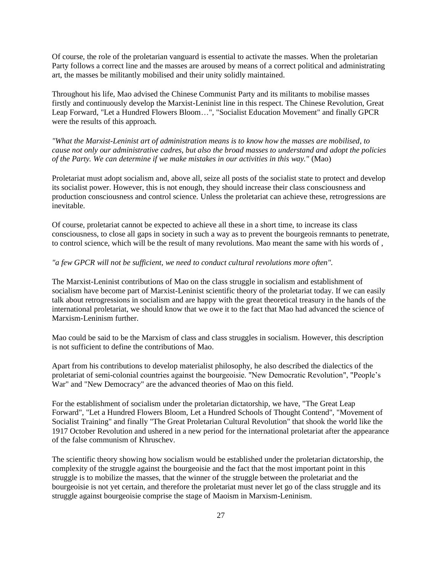Of course, the role of the proletarian vanguard is essential to activate the masses. When the proletarian Party follows a correct line and the masses are aroused by means of a correct political and administrating art, the masses be militantly mobilised and their unity solidly maintained.

Throughout his life, Mao advised the Chinese Communist Party and its militants to mobilise masses firstly and continuously develop the Marxist-Leninist line in this respect. The Chinese Revolution, Great Leap Forward, "Let a Hundred Flowers Bloom…", "Socialist Education Movement" and finally GPCR were the results of this approach.

*"What the Marxist-Leninist art of administration means is to know how the masses are mobilised, to cause not only our administrative cadres, but also the broad masses to understand and adopt the policies of the Party. We can determine if we make mistakes in our activities in this way."* (Mao)

Proletariat must adopt socialism and, above all, seize all posts of the socialist state to protect and develop its socialist power. However, this is not enough, they should increase their class consciousness and production consciousness and control science. Unless the proletariat can achieve these, retrogressions are inevitable.

Of course, proletariat cannot be expected to achieve all these in a short time, to increase its class consciousness, to close all gaps in society in such a way as to prevent the bourgeois remnants to penetrate, to control science, which will be the result of many revolutions. Mao meant the same with his words of ,

## *"a few GPCR will not be sufficient, we need to conduct cultural revolutions more often".*

The Marxist-Leninist contributions of Mao on the class struggle in socialism and establishment of socialism have become part of Marxist-Leninist scientific theory of the proletariat today. If we can easily talk about retrogressions in socialism and are happy with the great theoretical treasury in the hands of the international proletariat, we should know that we owe it to the fact that Mao had advanced the science of Marxism-Leninism further.

Mao could be said to be the Marxism of class and class struggles in socialism. However, this description is not sufficient to define the contributions of Mao.

Apart from his contributions to develop materialist philosophy, he also described the dialectics of the proletariat of semi-colonial countries against the bourgeoisie. "New Democratic Revolution", "People's War" and "New Democracy" are the advanced theories of Mao on this field.

For the establishment of socialism under the proletarian dictatorship, we have, "The Great Leap Forward", "Let a Hundred Flowers Bloom, Let a Hundred Schools of Thought Contend", "Movement of Socialist Training" and finally "The Great Proletarian Cultural Revolution" that shook the world like the 1917 October Revolution and ushered in a new period for the international proletariat after the appearance of the false communism of Khruschev.

The scientific theory showing how socialism would be established under the proletarian dictatorship, the complexity of the struggle against the bourgeoisie and the fact that the most important point in this struggle is to mobilize the masses, that the winner of the struggle between the proletariat and the bourgeoisie is not yet certain, and therefore the proletariat must never let go of the class struggle and its struggle against bourgeoisie comprise the stage of Maoism in Marxism-Leninism.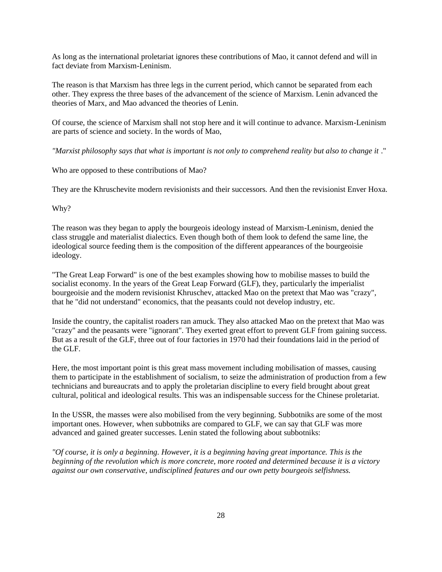As long as the international proletariat ignores these contributions of Mao, it cannot defend and will in fact deviate from Marxism-Leninism.

The reason is that Marxism has three legs in the current period, which cannot be separated from each other. They express the three bases of the advancement of the science of Marxism. Lenin advanced the theories of Marx, and Mao advanced the theories of Lenin.

Of course, the science of Marxism shall not stop here and it will continue to advance. Marxism-Leninism are parts of science and society. In the words of Mao,

*"Marxist philosophy says that what is important is not only to comprehend reality but also to change it* ."

Who are opposed to these contributions of Mao?

They are the Khruschevite modern revisionists and their successors. And then the revisionist Enver Hoxa.

Why?

The reason was they began to apply the bourgeois ideology instead of Marxism-Leninism, denied the class struggle and materialist dialectics. Even though both of them look to defend the same line, the ideological source feeding them is the composition of the different appearances of the bourgeoisie ideology.

"The Great Leap Forward" is one of the best examples showing how to mobilise masses to build the socialist economy. In the years of the Great Leap Forward (GLF), they, particularly the imperialist bourgeoisie and the modern revisionist Khruschev, attacked Mao on the pretext that Mao was "crazy", that he "did not understand" economics, that the peasants could not develop industry, etc.

Inside the country, the capitalist roaders ran amuck. They also attacked Mao on the pretext that Mao was "crazy" and the peasants were "ignorant". They exerted great effort to prevent GLF from gaining success. But as a result of the GLF, three out of four factories in 1970 had their foundations laid in the period of the GLF.

Here, the most important point is this great mass movement including mobilisation of masses, causing them to participate in the establishment of socialism, to seize the administration of production from a few technicians and bureaucrats and to apply the proletarian discipline to every field brought about great cultural, political and ideological results. This was an indispensable success for the Chinese proletariat.

In the USSR, the masses were also mobilised from the very beginning. Subbotniks are some of the most important ones. However, when subbotniks are compared to GLF, we can say that GLF was more advanced and gained greater successes. Lenin stated the following about subbotniks:

*"Of course, it is only a beginning. However, it is a beginning having great importance. This is the beginning of the revolution which is more concrete, more rooted and determined because it is a victory against our own conservative, undisciplined features and our own petty bourgeois selfishness.*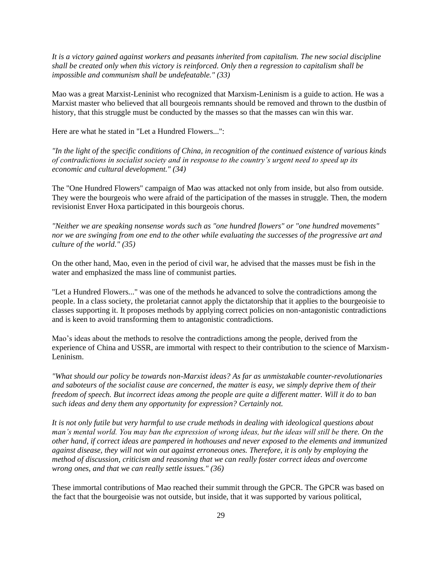*It is a victory gained against workers and peasants inherited from capitalism. The new social discipline shall be created only when this victory is reinforced. Only then a regression to capitalism shall be impossible and communism shall be undefeatable." (33)* 

Mao was a great Marxist-Leninist who recognized that Marxism-Leninism is a guide to action. He was a Marxist master who believed that all bourgeois remnants should be removed and thrown to the dustbin of history, that this struggle must be conducted by the masses so that the masses can win this war.

Here are what he stated in "Let a Hundred Flowers...":

*"In the light of the specific conditions of China, in recognition of the continued existence of various kinds of contradictions in socialist society and in response to the country's urgent need to speed up its economic and cultural development." (34)* 

The "One Hundred Flowers" campaign of Mao was attacked not only from inside, but also from outside. They were the bourgeois who were afraid of the participation of the masses in struggle. Then, the modern revisionist Enver Hoxa participated in this bourgeois chorus.

*"Neither we are speaking nonsense words such as "one hundred flowers" or "one hundred movements" nor we are swinging from one end to the other while evaluating the successes of the progressive art and culture of the world." (35)* 

On the other hand, Mao, even in the period of civil war, he advised that the masses must be fish in the water and emphasized the mass line of communist parties.

"Let a Hundred Flowers..." was one of the methods he advanced to solve the contradictions among the people. In a class society, the proletariat cannot apply the dictatorship that it applies to the bourgeoisie to classes supporting it. It proposes methods by applying correct policies on non-antagonistic contradictions and is keen to avoid transforming them to antagonistic contradictions.

Mao's ideas about the methods to resolve the contradictions among the people, derived from the experience of China and USSR, are immortal with respect to their contribution to the science of Marxism-Leninism.

*"What should our policy be towards non-Marxist ideas? As far as unmistakable counter-revolutionaries and saboteurs of the socialist cause are concerned, the matter is easy, we simply deprive them of their freedom of speech. But incorrect ideas among the people are quite a different matter. Will it do to ban such ideas and deny them any opportunity for expression? Certainly not.* 

*It is not only futile but very harmful to use crude methods in dealing with ideological questions about man's mental world. You may ban the expression of wrong ideas, but the ideas will still be there. On the other hand, if correct ideas are pampered in hothouses and never exposed to the elements and immunized against disease, they will not win out against erroneous ones. Therefore, it is only by employing the method of discussion, criticism and reasoning that we can really foster correct ideas and overcome wrong ones, and that we can really settle issues." (36)* 

These immortal contributions of Mao reached their summit through the GPCR. The GPCR was based on the fact that the bourgeoisie was not outside, but inside, that it was supported by various political,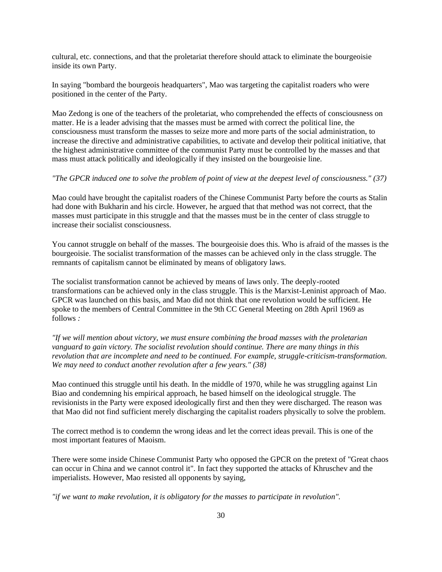cultural, etc. connections, and that the proletariat therefore should attack to eliminate the bourgeoisie inside its own Party.

In saying "bombard the bourgeois headquarters", Mao was targeting the capitalist roaders who were positioned in the center of the Party.

Mao Zedong is one of the teachers of the proletariat, who comprehended the effects of consciousness on matter. He is a leader advising that the masses must be armed with correct the political line, the consciousness must transform the masses to seize more and more parts of the social administration, to increase the directive and administrative capabilities, to activate and develop their political initiative, that the highest administrative committee of the communist Party must be controlled by the masses and that mass must attack politically and ideologically if they insisted on the bourgeoisie line.

## *"The GPCR induced one to solve the problem of point of view at the deepest level of consciousness." (37)*

Mao could have brought the capitalist roaders of the Chinese Communist Party before the courts as Stalin had done with Bukharin and his circle. However, he argued that that method was not correct, that the masses must participate in this struggle and that the masses must be in the center of class struggle to increase their socialist consciousness.

You cannot struggle on behalf of the masses. The bourgeoisie does this. Who is afraid of the masses is the bourgeoisie. The socialist transformation of the masses can be achieved only in the class struggle. The remnants of capitalism cannot be eliminated by means of obligatory laws.

The socialist transformation cannot be achieved by means of laws only. The deeply-rooted transformations can be achieved only in the class struggle. This is the Marxist-Leninist approach of Mao. GPCR was launched on this basis, and Mao did not think that one revolution would be sufficient. He spoke to the members of Central Committee in the 9th CC General Meeting on 28th April 1969 as follows *:* 

*"If we will mention about victory, we must ensure combining the broad masses with the proletarian vanguard to gain victory. The socialist revolution should continue. There are many things in this revolution that are incomplete and need to be continued. For example, struggle-criticism-transformation. We may need to conduct another revolution after a few years." (38)* 

Mao continued this struggle until his death. In the middle of 1970, while he was struggling against Lin Biao and condemning his empirical approach, he based himself on the ideological struggle. The revisionists in the Party were exposed ideologically first and then they were discharged. The reason was that Mao did not find sufficient merely discharging the capitalist roaders physically to solve the problem.

The correct method is to condemn the wrong ideas and let the correct ideas prevail. This is one of the most important features of Maoism.

There were some inside Chinese Communist Party who opposed the GPCR on the pretext of "Great chaos can occur in China and we cannot control it". In fact they supported the attacks of Khruschev and the imperialists. However, Mao resisted all opponents by saying,

*"if we want to make revolution, it is obligatory for the masses to participate in revolution".*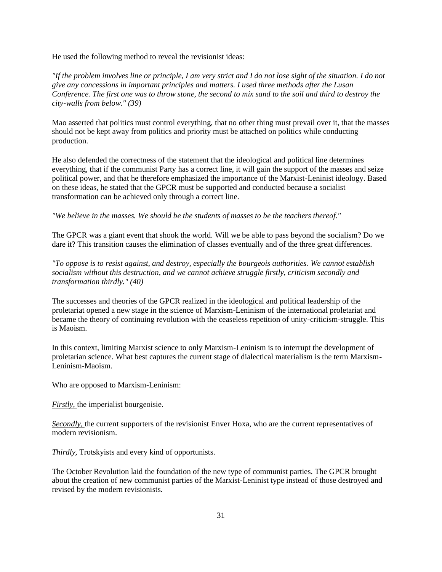He used the following method to reveal the revisionist ideas:

*"If the problem involves line or principle, I am very strict and I do not lose sight of the situation. I do not give any concessions in important principles and matters. I used three methods after the Lusan Conference. The first one was to throw stone, the second to mix sand to the soil and third to destroy the city-walls from below." (39)* 

Mao asserted that politics must control everything, that no other thing must prevail over it, that the masses should not be kept away from politics and priority must be attached on politics while conducting production.

He also defended the correctness of the statement that the ideological and political line determines everything, that if the communist Party has a correct line, it will gain the support of the masses and seize political power, and that he therefore emphasized the importance of the Marxist-Leninist ideology. Based on these ideas, he stated that the GPCR must be supported and conducted because a socialist transformation can be achieved only through a correct line.

*"We believe in the masses. We should be the students of masses to be the teachers thereof."* 

The GPCR was a giant event that shook the world. Will we be able to pass beyond the socialism? Do we dare it? This transition causes the elimination of classes eventually and of the three great differences.

*"To oppose is to resist against, and destroy, especially the bourgeois authorities. We cannot establish socialism without this destruction, and we cannot achieve struggle firstly, criticism secondly and transformation thirdly." (40)* 

The successes and theories of the GPCR realized in the ideological and political leadership of the proletariat opened a new stage in the science of Marxism-Leninism of the international proletariat and became the theory of continuing revolution with the ceaseless repetition of unity-criticism-struggle. This is Maoism.

In this context, limiting Marxist science to only Marxism-Leninism is to interrupt the development of proletarian science. What best captures the current stage of dialectical materialism is the term Marxism-Leninism-Maoism.

Who are opposed to Marxism-Leninism:

*Firstly*, the imperialist bourgeoisie.

*Secondly,* the current supporters of the revisionist Enver Hoxa, who are the current representatives of modern revisionism.

*Thirdly,* Trotskyists and every kind of opportunists.

The October Revolution laid the foundation of the new type of communist parties. The GPCR brought about the creation of new communist parties of the Marxist-Leninist type instead of those destroyed and revised by the modern revisionists.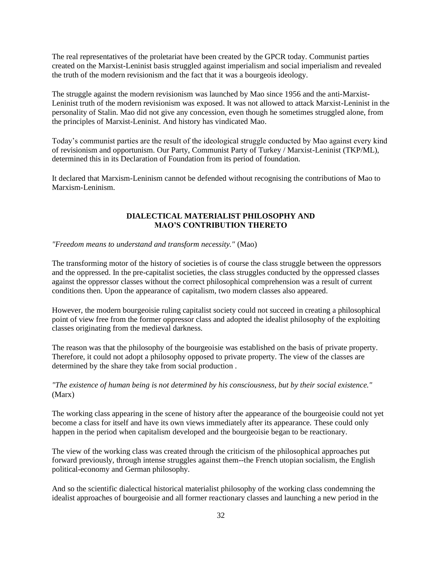The real representatives of the proletariat have been created by the GPCR today. Communist parties created on the Marxist-Leninist basis struggled against imperialism and social imperialism and revealed the truth of the modern revisionism and the fact that it was a bourgeois ideology.

The struggle against the modern revisionism was launched by Mao since 1956 and the anti-Marxist-Leninist truth of the modern revisionism was exposed. It was not allowed to attack Marxist-Leninist in the personality of Stalin. Mao did not give any concession, even though he sometimes struggled alone, from the principles of Marxist-Leninist. And history has vindicated Mao.

Today's communist parties are the result of the ideological struggle conducted by Mao against every kind of revisionism and opportunism. Our Party, Communist Party of Turkey / Marxist-Leninist (TKP/ML), determined this in its Declaration of Foundation from its period of foundation.

It declared that Marxism-Leninism cannot be defended without recognising the contributions of Mao to Marxism-Leninism.

## **DIALECTICAL MATERIALIST PHILOSOPHY AND MAO'S CONTRIBUTION THERETO**

#### *"Freedom means to understand and transform necessity."* (Mao)

The transforming motor of the history of societies is of course the class struggle between the oppressors and the oppressed. In the pre-capitalist societies, the class struggles conducted by the oppressed classes against the oppressor classes without the correct philosophical comprehension was a result of current conditions then. Upon the appearance of capitalism, two modern classes also appeared.

However, the modern bourgeoisie ruling capitalist society could not succeed in creating a philosophical point of view free from the former oppressor class and adopted the idealist philosophy of the exploiting classes originating from the medieval darkness.

The reason was that the philosophy of the bourgeoisie was established on the basis of private property. Therefore, it could not adopt a philosophy opposed to private property. The view of the classes are determined by the share they take from social production *.* 

*"The existence of human being is not determined by his consciousness, but by their social existence."*  (Marx)

The working class appearing in the scene of history after the appearance of the bourgeoisie could not yet become a class for itself and have its own views immediately after its appearance. These could only happen in the period when capitalism developed and the bourgeoisie began to be reactionary.

The view of the working class was created through the criticism of the philosophical approaches put forward previously, through intense struggles against them--the French utopian socialism, the English political-economy and German philosophy.

And so the scientific dialectical historical materialist philosophy of the working class condemning the idealist approaches of bourgeoisie and all former reactionary classes and launching a new period in the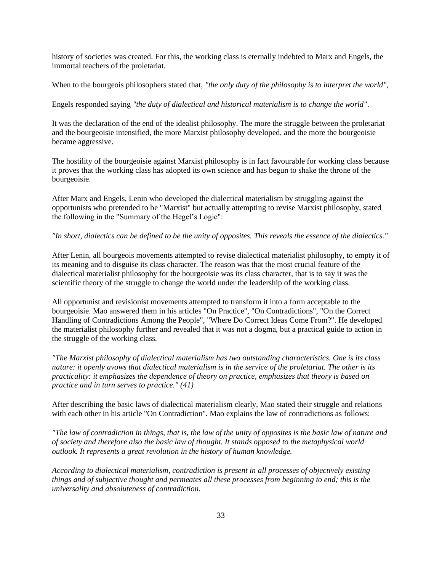history of societies was created. For this, the working class is eternally indebted to Marx and Engels, the immortal teachers of the proletariat.

When to the bourgeois philosophers stated that, "the only duty of the philosophy is to interpret the world",

Engels responded saying *"the duty of dialectical and historical materialism is to change the world"*.

It was the declaration of the end of the idealist philosophy. The more the struggle between the proletariat and the bourgeoisie intensified, the more Marxist philosophy developed, and the more the bourgeoisie became aggressive.

The hostility of the bourgeoisie against Marxist philosophy is in fact favourable for working class because it proves that the working class has adopted its own science and has begun to shake the throne of the bourgeoisie.

After Marx and Engels, Lenin who developed the dialectical materialism by struggling against the opportunists who pretended to be "Marxist" but actually attempting to revise Marxist philosophy, stated the following in the "Summary of the Hegel's Logic":

#### *"In short, dialectics can be defined to be the unity of opposites. This reveals the essence of the dialectics."*

After Lenin, all bourgeois movements attempted to revise dialectical materialist philosophy, to empty it of its meaning and to disguise its class character. The reason was that the most crucial feature of the dialectical materialist philosophy for the bourgeoisie was its class character, that is to say it was the scientific theory of the struggle to change the world under the leadership of the working class.

All opportunist and revisionist movements attempted to transform it into a form acceptable to the bourgeoisie. Mao answered them in his articles "On Practice", "On Contradictions", "On the Correct Handling of Contradictions Among the People", "Where Do Correct Ideas Come From?". He developed the materialist philosophy further and revealed that it was not a dogma, but a practical guide to action in the struggle of the working class.

*"The Marxist philosophy of dialectical materialism has two outstanding characteristics. One is its class nature: it openly avows that dialectical materialism is in the service of the proletariat. The other is its practicality: it emphasizes the dependence of theory on practice, emphasizes that theory is based on practice and in turn serves to practice." (41)* 

After describing the basic laws of dialectical materialism clearly, Mao stated their struggle and relations with each other in his article "On Contradiction". Mao explains the law of contradictions as follows:

*"The law of contradiction in things, that is, the law of the unity of opposites is the basic law of nature and of society and therefore also the basic law of thought. It stands opposed to the metaphysical world outlook. It represents a great revolution in the history of human knowledge.* 

*According to dialectical materialism, contradiction is present in all processes of objectively existing things and of subjective thought and permeates all these processes from beginning to end; this is the universality and absoluteness of contradiction.*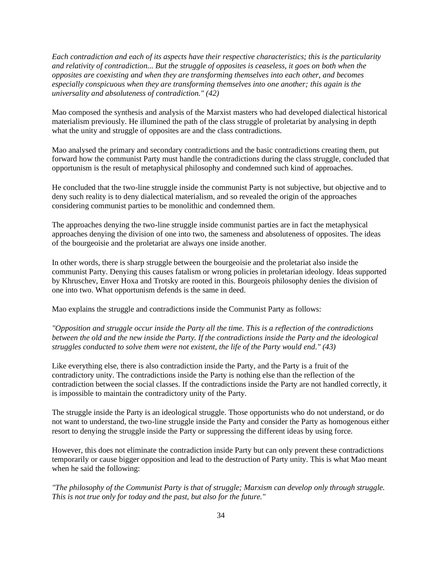*Each contradiction and each of its aspects have their respective characteristics; this is the particularity and relativity of contradiction... But the struggle of opposites is ceaseless, it goes on both when the opposites are coexisting and when they are transforming themselves into each other, and becomes especially conspicuous when they are transforming themselves into one another; this again is the universality and absoluteness of contradiction." (42)* 

Mao composed the synthesis and analysis of the Marxist masters who had developed dialectical historical materialism previously. He illumined the path of the class struggle of proletariat by analysing in depth what the unity and struggle of opposites are and the class contradictions.

Mao analysed the primary and secondary contradictions and the basic contradictions creating them, put forward how the communist Party must handle the contradictions during the class struggle, concluded that opportunism is the result of metaphysical philosophy and condemned such kind of approaches.

He concluded that the two-line struggle inside the communist Party is not subjective, but objective and to deny such reality is to deny dialectical materialism, and so revealed the origin of the approaches considering communist parties to be monolithic and condemned them.

The approaches denying the two-line struggle inside communist parties are in fact the metaphysical approaches denying the division of one into two, the sameness and absoluteness of opposites. The ideas of the bourgeoisie and the proletariat are always one inside another.

In other words, there is sharp struggle between the bourgeoisie and the proletariat also inside the communist Party. Denying this causes fatalism or wrong policies in proletarian ideology. Ideas supported by Khruschev, Enver Hoxa and Trotsky are rooted in this. Bourgeois philosophy denies the division of one into two. What opportunism defends is the same in deed.

Mao explains the struggle and contradictions inside the Communist Party as follows:

*"Opposition and struggle occur inside the Party all the time. This is a reflection of the contradictions between the old and the new inside the Party. If the contradictions inside the Party and the ideological struggles conducted to solve them were not existent, the life of the Party would end." (43)* 

Like everything else, there is also contradiction inside the Party, and the Party is a fruit of the contradictory unity. The contradictions inside the Party is nothing else than the reflection of the contradiction between the social classes. If the contradictions inside the Party are not handled correctly, it is impossible to maintain the contradictory unity of the Party.

The struggle inside the Party is an ideological struggle. Those opportunists who do not understand, or do not want to understand, the two-line struggle inside the Party and consider the Party as homogenous either resort to denying the struggle inside the Party or suppressing the different ideas by using force.

However, this does not eliminate the contradiction inside Party but can only prevent these contradictions temporarily or cause bigger opposition and lead to the destruction of Party unity. This is what Mao meant when he said the following:

*"The philosophy of the Communist Party is that of struggle; Marxism can develop only through struggle. This is not true only for today and the past, but also for the future."*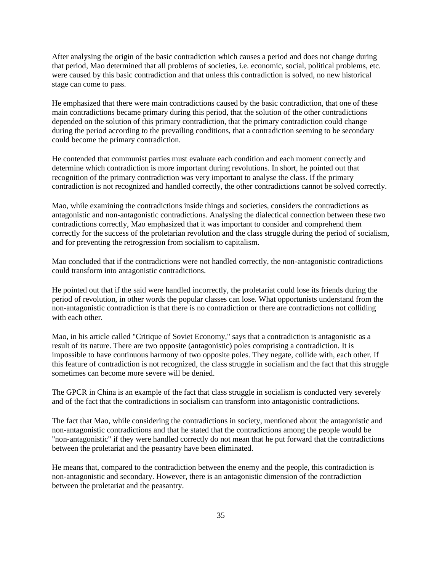After analysing the origin of the basic contradiction which causes a period and does not change during that period, Mao determined that all problems of societies, i.e. economic, social, political problems, etc. were caused by this basic contradiction and that unless this contradiction is solved, no new historical stage can come to pass.

He emphasized that there were main contradictions caused by the basic contradiction, that one of these main contradictions became primary during this period, that the solution of the other contradictions depended on the solution of this primary contradiction, that the primary contradiction could change during the period according to the prevailing conditions, that a contradiction seeming to be secondary could become the primary contradiction.

He contended that communist parties must evaluate each condition and each moment correctly and determine which contradiction is more important during revolutions. In short, he pointed out that recognition of the primary contradiction was very important to analyse the class. If the primary contradiction is not recognized and handled correctly, the other contradictions cannot be solved correctly.

Mao, while examining the contradictions inside things and societies, considers the contradictions as antagonistic and non-antagonistic contradictions. Analysing the dialectical connection between these two contradictions correctly, Mao emphasized that it was important to consider and comprehend them correctly for the success of the proletarian revolution and the class struggle during the period of socialism, and for preventing the retrogression from socialism to capitalism.

Mao concluded that if the contradictions were not handled correctly, the non-antagonistic contradictions could transform into antagonistic contradictions.

He pointed out that if the said were handled incorrectly, the proletariat could lose its friends during the period of revolution, in other words the popular classes can lose. What opportunists understand from the non-antagonistic contradiction is that there is no contradiction or there are contradictions not colliding with each other.

Mao, in his article called "Critique of Soviet Economy," says that a contradiction is antagonistic as a result of its nature. There are two opposite (antagonistic) poles comprising a contradiction. It is impossible to have continuous harmony of two opposite poles. They negate, collide with, each other. If this feature of contradiction is not recognized, the class struggle in socialism and the fact that this struggle sometimes can become more severe will be denied.

The GPCR in China is an example of the fact that class struggle in socialism is conducted very severely and of the fact that the contradictions in socialism can transform into antagonistic contradictions.

The fact that Mao, while considering the contradictions in society, mentioned about the antagonistic and non-antagonistic contradictions and that he stated that the contradictions among the people would be "non-antagonistic" if they were handled correctly do not mean that he put forward that the contradictions between the proletariat and the peasantry have been eliminated.

He means that, compared to the contradiction between the enemy and the people, this contradiction is non-antagonistic and secondary. However, there is an antagonistic dimension of the contradiction between the proletariat and the peasantry.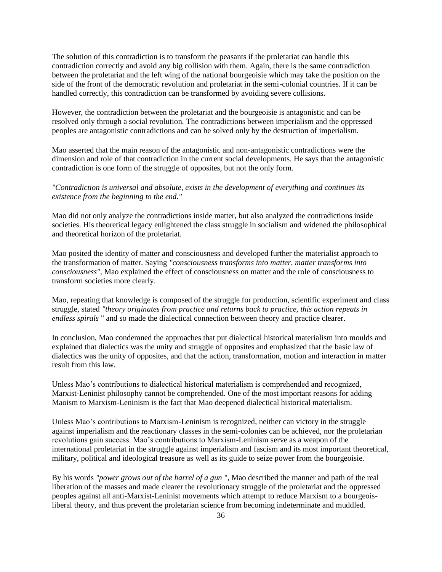The solution of this contradiction is to transform the peasants if the proletariat can handle this contradiction correctly and avoid any big collision with them. Again, there is the same contradiction between the proletariat and the left wing of the national bourgeoisie which may take the position on the side of the front of the democratic revolution and proletariat in the semi-colonial countries. If it can be handled correctly, this contradiction can be transformed by avoiding severe collisions.

However, the contradiction between the proletariat and the bourgeoisie is antagonistic and can be resolved only through a social revolution. The contradictions between imperialism and the oppressed peoples are antagonistic contradictions and can be solved only by the destruction of imperialism.

Mao asserted that the main reason of the antagonistic and non-antagonistic contradictions were the dimension and role of that contradiction in the current social developments. He says that the antagonistic contradiction is one form of the struggle of opposites, but not the only form.

## *"Contradiction is universal and absolute, exists in the development of everything and continues its existence from the beginning to the end."*

Mao did not only analyze the contradictions inside matter, but also analyzed the contradictions inside societies. His theoretical legacy enlightened the class struggle in socialism and widened the philosophical and theoretical horizon of the proletariat.

Mao posited the identity of matter and consciousness and developed further the materialist approach to the transformation of matter. Saying *"consciousness transforms into matter, matter transforms into consciousness",* Mao explained the effect of consciousness on matter and the role of consciousness to transform societies more clearly.

Mao, repeating that knowledge is composed of the struggle for production, scientific experiment and class struggle, stated *"theory originates from practice and returns back to practice, this action repeats in endless spirals* " and so made the dialectical connection between theory and practice clearer.

In conclusion, Mao condemned the approaches that put dialectical historical materialism into moulds and explained that dialectics was the unity and struggle of opposites and emphasized that the basic law of dialectics was the unity of opposites, and that the action, transformation, motion and interaction in matter result from this law.

Unless Mao's contributions to dialectical historical materialism is comprehended and recognized, Marxist-Leninist philosophy cannot be comprehended. One of the most important reasons for adding Maoism to Marxism-Leninism is the fact that Mao deepened dialectical historical materialism.

Unless Mao's contributions to Marxism-Leninism is recognized, neither can victory in the struggle against imperialism and the reactionary classes in the semi-colonies can be achieved, nor the proletarian revolutions gain success. Mao's contributions to Marxism-Leninism serve as a weapon of the international proletariat in the struggle against imperialism and fascism and its most important theoretical, military, political and ideological treasure as well as its guide to seize power from the bourgeoisie.

By his words *"power grows out of the barrel of a gun* ", Mao described the manner and path of the real liberation of the masses and made clearer the revolutionary struggle of the proletariat and the oppressed peoples against all anti-Marxist-Leninist movements which attempt to reduce Marxism to a bourgeoisliberal theory, and thus prevent the proletarian science from becoming indeterminate and muddled.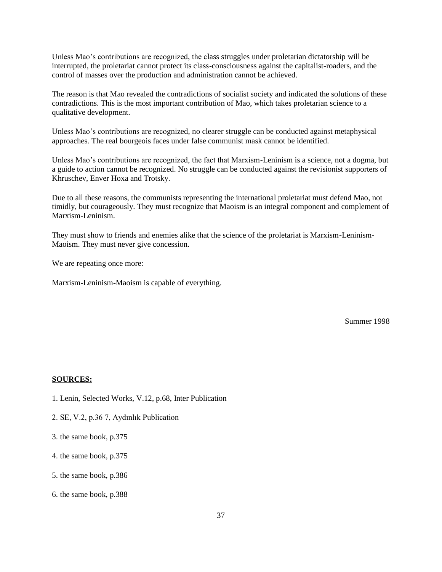Unless Mao's contributions are recognized, the class struggles under proletarian dictatorship will be interrupted, the proletariat cannot protect its class-consciousness against the capitalist-roaders, and the control of masses over the production and administration cannot be achieved.

The reason is that Mao revealed the contradictions of socialist society and indicated the solutions of these contradictions. This is the most important contribution of Mao, which takes proletarian science to a qualitative development.

Unless Mao's contributions are recognized, no clearer struggle can be conducted against metaphysical approaches. The real bourgeois faces under false communist mask cannot be identified.

Unless Mao's contributions are recognized, the fact that Marxism-Leninism is a science, not a dogma, but a guide to action cannot be recognized. No struggle can be conducted against the revisionist supporters of Khruschev, Enver Hoxa and Trotsky.

Due to all these reasons, the communists representing the international proletariat must defend Mao, not timidly, but courageously. They must recognize that Maoism is an integral component and complement of Marxism-Leninism.

They must show to friends and enemies alike that the science of the proletariat is Marxism-Leninism-Maoism. They must never give concession.

We are repeating once more:

Marxism-Leninism-Maoism is capable of everything.

Summer 1998

#### **SOURCES:**

- 1. Lenin, Selected Works, V.12, p.68, Inter Publication
- 2. SE, V.2, p.36 7, Aydınlık Publication
- 3. the same book, p.375
- 4. the same book, p.375
- 5. the same book, p.386
- 6. the same book, p.388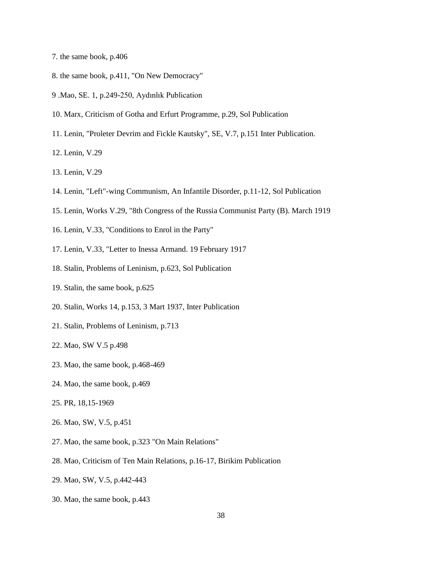- 7. the same book, p.406
- 8. the same book, p.411, "On New Democracy"
- 9 .Mao, SE. 1, p.249-250, Aydınlık Publication
- 10. Marx, Criticism of Gotha and Erfurt Programme, p.29, Sol Publication
- 11. Lenin, "Proleter Devrim and Fickle Kautsky", SE, V.7, p.151 Inter Publication.
- 12. Lenin, V.29
- 13. Lenin, V.29
- 14. Lenin, "Left"-wing Communism, An Infantile Disorder, p.11-12, Sol Publication
- 15. Lenin, Works V.29, "8th Congress of the Russia Communist Party (B). March 1919
- 16. Lenin, V.33, "Conditions to Enrol in the Party"
- 17. Lenin, V.33, "Letter to Inessa Armand. 19 February 1917
- 18. Stalin, Problems of Leninism, p.623, Sol Publication
- 19. Stalin, the same book, p.625
- 20. Stalin, Works 14, p.153, 3 Mart 1937, Inter Publication
- 21. Stalin, Problems of Leninism, p.713
- 22. Mao, SW V.5 p.498
- 23. Mao, the same book, p.468-469
- 24. Mao, the same book, p.469
- 25. PR, 18,15-1969
- 26. Mao, SW, V.5, p.451
- 27. Mao, the same book, p.323 "On Main Relations"
- 28. Mao, Criticism of Ten Main Relations, p.16-17, Birikim Publication
- 29. Mao, SW, V.5, p.442-443
- 30. Mao, the same book, p.443